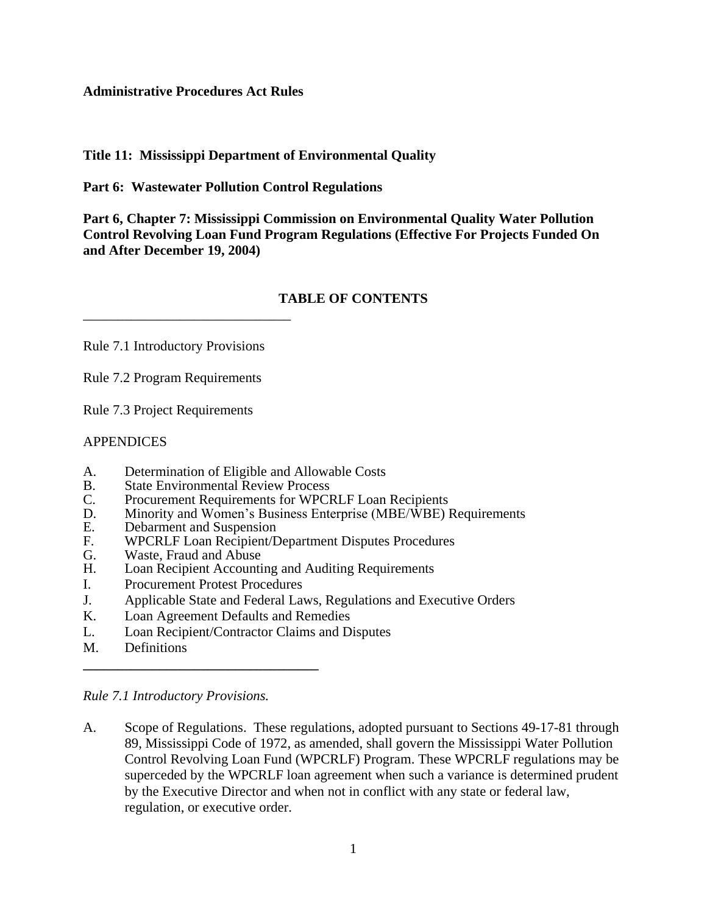#### **Administrative Procedures Act Rules**

## **Title 11: Mississippi Department of Environmental Quality**

**Part 6: Wastewater Pollution Control Regulations**

**Part 6, Chapter 7: Mississippi Commission on Environmental Quality Water Pollution Control Revolving Loan Fund Program Regulations (Effective For Projects Funded On and After December 19, 2004)**

## **TABLE OF CONTENTS**

Rule 7.1 Introductory Provisions

\_\_\_\_\_\_\_\_\_\_\_\_\_\_\_\_\_\_\_\_\_\_\_\_\_\_\_\_\_\_

Rule 7.2 Program Requirements

Rule 7.3 Project Requirements

#### APPENDICES

- A. Determination of Eligible and Allowable Costs
- B. State Environmental Review Process<br>C. Procurement Requirements for WPCI
- C. Procurement Requirements for WPCRLF Loan Recipients<br>D. Minority and Women's Business Enterprise (MBE/WBE)
- Minority and Women's Business Enterprise (MBE/WBE) Requirements
- E. Debarment and Suspension<br>F. WPCRLF Loan Recipient/L
- F. WPCRLF Loan Recipient/Department Disputes Procedures
- Waste, Fraud and Abuse
- H. Loan Recipient Accounting and Auditing Requirements
- I. Procurement Protest Procedures

**\_\_\_\_\_\_\_\_\_\_\_\_\_\_\_\_\_\_\_\_\_\_\_\_\_\_\_\_\_\_\_\_\_\_**

- J. Applicable State and Federal Laws, Regulations and Executive Orders
- K. Loan Agreement Defaults and Remedies
- L. Loan Recipient/Contractor Claims and Disputes
- M. Definitions

A. Scope of Regulations. These regulations, adopted pursuant to Sections 49-17-81 through 89, Mississippi Code of 1972, as amended, shall govern the Mississippi Water Pollution Control Revolving Loan Fund (WPCRLF) Program. These WPCRLF regulations may be superceded by the WPCRLF loan agreement when such a variance is determined prudent by the Executive Director and when not in conflict with any state or federal law, regulation, or executive order.

*Rule 7.1 Introductory Provisions.*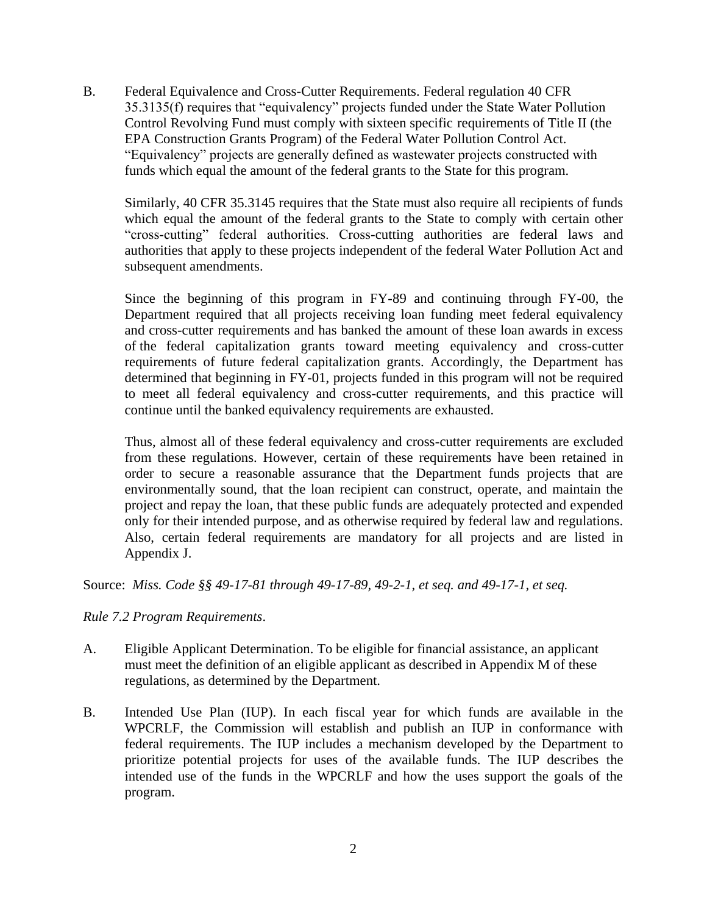B. Federal Equivalence and Cross-Cutter Requirements. Federal regulation 40 CFR 35.3135(f) requires that "equivalency" projects funded under the State Water Pollution Control Revolving Fund must comply with sixteen specific requirements of Title II (the EPA Construction Grants Program) of the Federal Water Pollution Control Act. "Equivalency" projects are generally defined as wastewater projects constructed with funds which equal the amount of the federal grants to the State for this program.

Similarly, 40 CFR 35.3145 requires that the State must also require all recipients of funds which equal the amount of the federal grants to the State to comply with certain other "cross-cutting" federal authorities. Cross-cutting authorities are federal laws and authorities that apply to these projects independent of the federal Water Pollution Act and subsequent amendments.

Since the beginning of this program in FY-89 and continuing through FY-00, the Department required that all projects receiving loan funding meet federal equivalency and cross-cutter requirements and has banked the amount of these loan awards in excess of the federal capitalization grants toward meeting equivalency and cross-cutter requirements of future federal capitalization grants. Accordingly, the Department has determined that beginning in FY-01, projects funded in this program will not be required to meet all federal equivalency and cross-cutter requirements, and this practice will continue until the banked equivalency requirements are exhausted.

Thus, almost all of these federal equivalency and cross-cutter requirements are excluded from these regulations. However, certain of these requirements have been retained in order to secure a reasonable assurance that the Department funds projects that are environmentally sound, that the loan recipient can construct, operate, and maintain the project and repay the loan, that these public funds are adequately protected and expended only for their intended purpose, and as otherwise required by federal law and regulations. Also, certain federal requirements are mandatory for all projects and are listed in Appendix J.

Source: *Miss. Code §§ 49-17-81 through 49-17-89, 49-2-1, et seq. and 49-17-1, et seq.*

*Rule 7.2 Program Requirements*.

- A. Eligible Applicant Determination. To be eligible for financial assistance, an applicant must meet the definition of an eligible applicant as described in Appendix M of these regulations, as determined by the Department.
- B. Intended Use Plan (IUP). In each fiscal year for which funds are available in the WPCRLF, the Commission will establish and publish an IUP in conformance with federal requirements. The IUP includes a mechanism developed by the Department to prioritize potential projects for uses of the available funds. The IUP describes the intended use of the funds in the WPCRLF and how the uses support the goals of the program.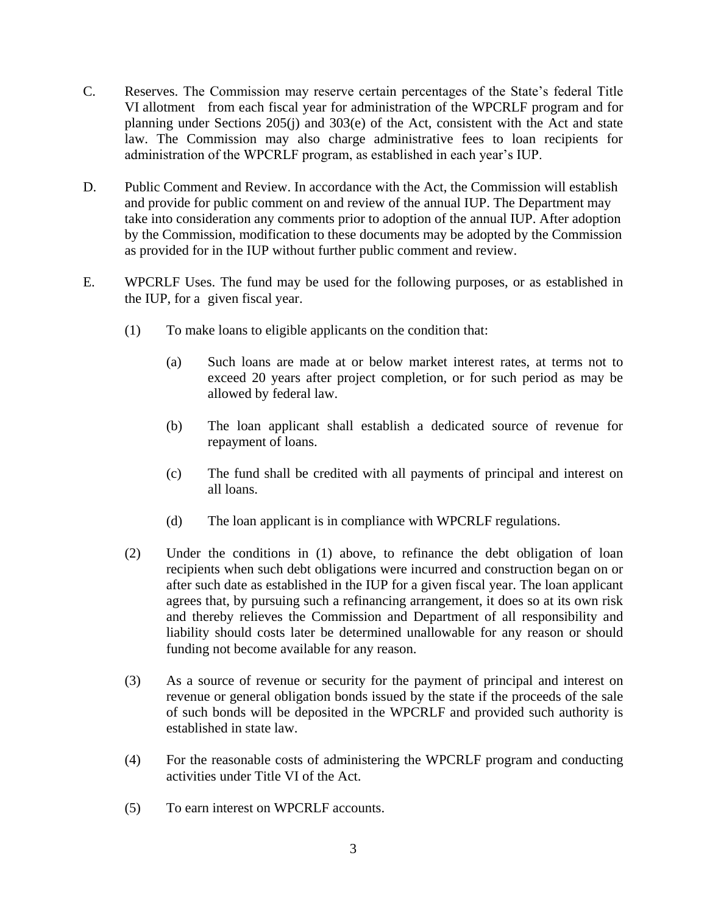- C. Reserves. The Commission may reserve certain percentages of the State's federal Title VI allotment from each fiscal year for administration of the WPCRLF program and for planning under Sections 205(j) and 303(e) of the Act, consistent with the Act and state law. The Commission may also charge administrative fees to loan recipients for administration of the WPCRLF program, as established in each year's IUP.
- D. Public Comment and Review. In accordance with the Act, the Commission will establish and provide for public comment on and review of the annual IUP. The Department may take into consideration any comments prior to adoption of the annual IUP. After adoption by the Commission, modification to these documents may be adopted by the Commission as provided for in the IUP without further public comment and review.
- E. WPCRLF Uses. The fund may be used for the following purposes, or as established in the IUP, for a given fiscal year.
	- (1) To make loans to eligible applicants on the condition that:
		- (a) Such loans are made at or below market interest rates, at terms not to exceed 20 years after project completion, or for such period as may be allowed by federal law.
		- (b) The loan applicant shall establish a dedicated source of revenue for repayment of loans.
		- (c) The fund shall be credited with all payments of principal and interest on all loans.
		- (d) The loan applicant is in compliance with WPCRLF regulations.
	- (2) Under the conditions in (1) above, to refinance the debt obligation of loan recipients when such debt obligations were incurred and construction began on or after such date as established in the IUP for a given fiscal year. The loan applicant agrees that, by pursuing such a refinancing arrangement, it does so at its own risk and thereby relieves the Commission and Department of all responsibility and liability should costs later be determined unallowable for any reason or should funding not become available for any reason.
	- (3) As a source of revenue or security for the payment of principal and interest on revenue or general obligation bonds issued by the state if the proceeds of the sale of such bonds will be deposited in the WPCRLF and provided such authority is established in state law.
	- (4) For the reasonable costs of administering the WPCRLF program and conducting activities under Title VI of the Act.
	- (5) To earn interest on WPCRLF accounts.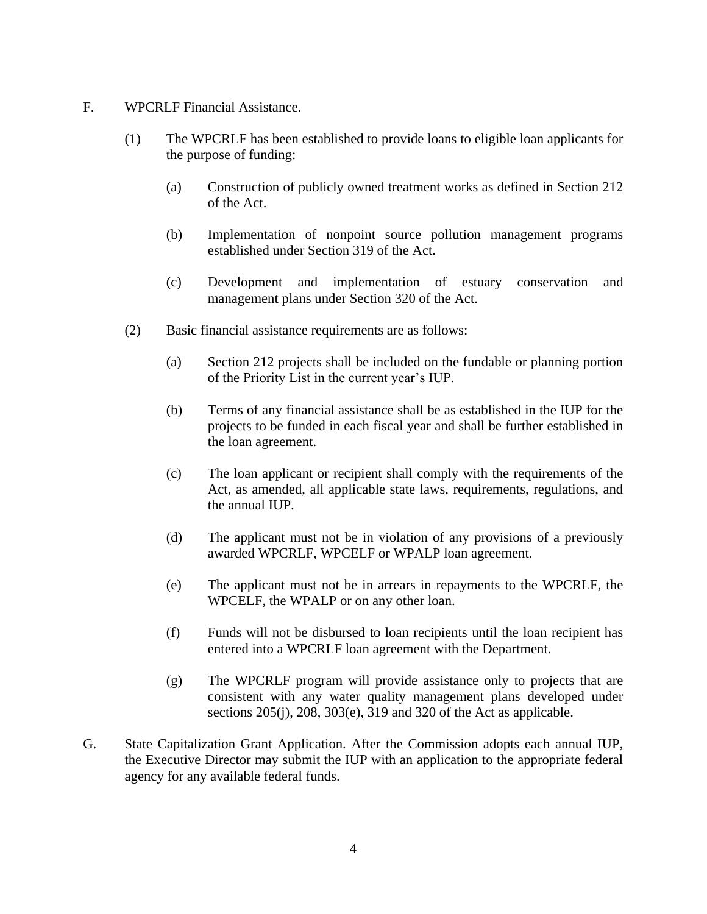- F. WPCRLF Financial Assistance.
	- (1) The WPCRLF has been established to provide loans to eligible loan applicants for the purpose of funding:
		- (a) Construction of publicly owned treatment works as defined in Section 212 of the Act.
		- (b) Implementation of nonpoint source pollution management programs established under Section 319 of the Act.
		- (c) Development and implementation of estuary conservation and management plans under Section 320 of the Act.
	- (2) Basic financial assistance requirements are as follows:
		- (a) Section 212 projects shall be included on the fundable or planning portion of the Priority List in the current year's IUP.
		- (b) Terms of any financial assistance shall be as established in the IUP for the projects to be funded in each fiscal year and shall be further established in the loan agreement.
		- (c) The loan applicant or recipient shall comply with the requirements of the Act, as amended, all applicable state laws, requirements, regulations, and the annual IUP.
		- (d) The applicant must not be in violation of any provisions of a previously awarded WPCRLF, WPCELF or WPALP loan agreement.
		- (e) The applicant must not be in arrears in repayments to the WPCRLF, the WPCELF, the WPALP or on any other loan.
		- (f) Funds will not be disbursed to loan recipients until the loan recipient has entered into a WPCRLF loan agreement with the Department.
		- (g) The WPCRLF program will provide assistance only to projects that are consistent with any water quality management plans developed under sections 205(j), 208, 303(e), 319 and 320 of the Act as applicable.
- G. State Capitalization Grant Application. After the Commission adopts each annual IUP, the Executive Director may submit the IUP with an application to the appropriate federal agency for any available federal funds.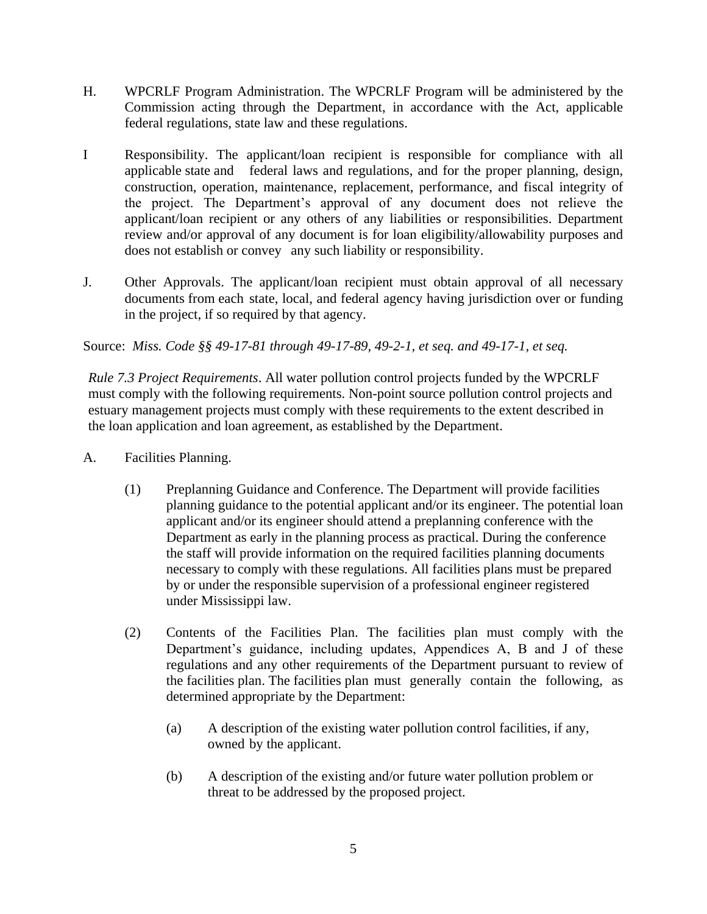- H. WPCRLF Program Administration. The WPCRLF Program will be administered by the Commission acting through the Department, in accordance with the Act, applicable federal regulations, state law and these regulations.
- I Responsibility. The applicant/loan recipient is responsible for compliance with all applicable state and federal laws and regulations, and for the proper planning, design, construction, operation, maintenance, replacement, performance, and fiscal integrity of the project. The Department's approval of any document does not relieve the applicant/loan recipient or any others of any liabilities or responsibilities. Department review and/or approval of any document is for loan eligibility/allowability purposes and does not establish or convey any such liability or responsibility.
- J. Other Approvals. The applicant/loan recipient must obtain approval of all necessary documents from each state, local, and federal agency having jurisdiction over or funding in the project, if so required by that agency.

## Source: *Miss. Code §§ 49-17-81 through 49-17-89, 49-2-1, et seq. and 49-17-1, et seq.*

*Rule 7.3 Project Requirements*. All water pollution control projects funded by the WPCRLF must comply with the following requirements. Non-point source pollution control projects and estuary management projects must comply with these requirements to the extent described in the loan application and loan agreement, as established by the Department.

- A. Facilities Planning.
	- (1) Preplanning Guidance and Conference. The Department will provide facilities planning guidance to the potential applicant and/or its engineer. The potential loan applicant and/or its engineer should attend a preplanning conference with the Department as early in the planning process as practical. During the conference the staff will provide information on the required facilities planning documents necessary to comply with these regulations. All facilities plans must be prepared by or under the responsible supervision of a professional engineer registered under Mississippi law.
	- (2) Contents of the Facilities Plan. The facilities plan must comply with the Department's guidance, including updates, Appendices A, B and J of these regulations and any other requirements of the Department pursuant to review of the facilities plan. The facilities plan must generally contain the following, as determined appropriate by the Department:
		- (a) A description of the existing water pollution control facilities, if any, owned by the applicant.
		- (b) A description of the existing and/or future water pollution problem or threat to be addressed by the proposed project.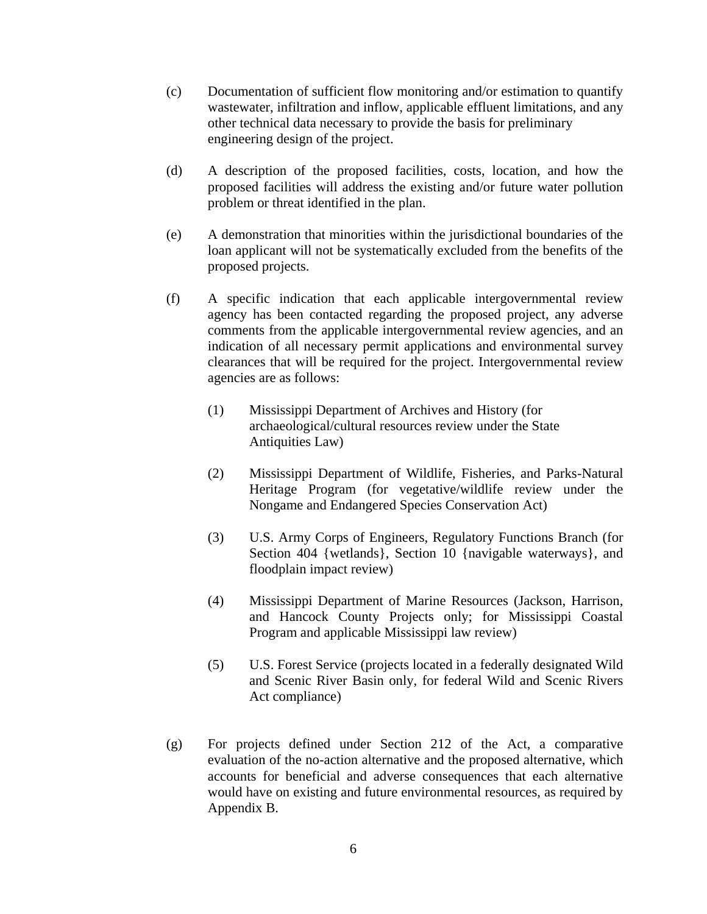- (c) Documentation of sufficient flow monitoring and/or estimation to quantify wastewater, infiltration and inflow, applicable effluent limitations, and any other technical data necessary to provide the basis for preliminary engineering design of the project.
- (d) A description of the proposed facilities, costs, location, and how the proposed facilities will address the existing and/or future water pollution problem or threat identified in the plan.
- (e) A demonstration that minorities within the jurisdictional boundaries of the loan applicant will not be systematically excluded from the benefits of the proposed projects.
- (f) A specific indication that each applicable intergovernmental review agency has been contacted regarding the proposed project, any adverse comments from the applicable intergovernmental review agencies, and an indication of all necessary permit applications and environmental survey clearances that will be required for the project. Intergovernmental review agencies are as follows:
	- (1) Mississippi Department of Archives and History (for archaeological/cultural resources review under the State Antiquities Law)
	- (2) Mississippi Department of Wildlife, Fisheries, and Parks-Natural Heritage Program (for vegetative/wildlife review under the Nongame and Endangered Species Conservation Act)
	- (3) U.S. Army Corps of Engineers, Regulatory Functions Branch (for Section 404 {wetlands}, Section 10 {navigable waterways}, and floodplain impact review)
	- (4) Mississippi Department of Marine Resources (Jackson, Harrison, and Hancock County Projects only; for Mississippi Coastal Program and applicable Mississippi law review)
	- (5) U.S. Forest Service (projects located in a federally designated Wild and Scenic River Basin only, for federal Wild and Scenic Rivers Act compliance)
- (g) For projects defined under Section 212 of the Act, a comparative evaluation of the no-action alternative and the proposed alternative, which accounts for beneficial and adverse consequences that each alternative would have on existing and future environmental resources, as required by Appendix B.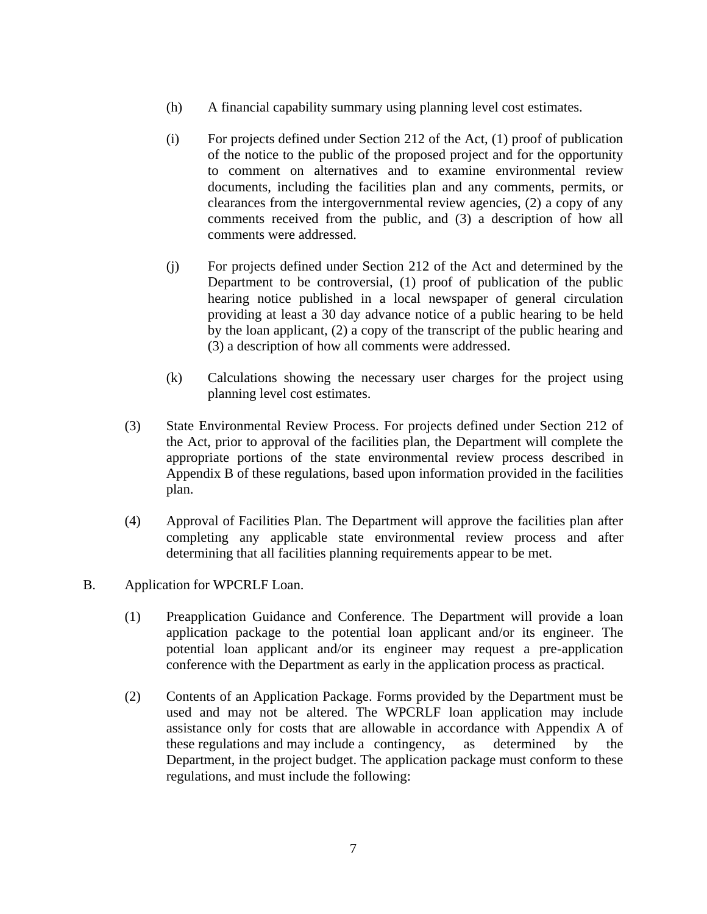- (h) A financial capability summary using planning level cost estimates.
- (i) For projects defined under Section 212 of the Act, (1) proof of publication of the notice to the public of the proposed project and for the opportunity to comment on alternatives and to examine environmental review documents, including the facilities plan and any comments, permits, or clearances from the intergovernmental review agencies, (2) a copy of any comments received from the public, and (3) a description of how all comments were addressed.
- (j) For projects defined under Section 212 of the Act and determined by the Department to be controversial, (1) proof of publication of the public hearing notice published in a local newspaper of general circulation providing at least a 30 day advance notice of a public hearing to be held by the loan applicant, (2) a copy of the transcript of the public hearing and (3) a description of how all comments were addressed.
- (k) Calculations showing the necessary user charges for the project using planning level cost estimates.
- (3) State Environmental Review Process. For projects defined under Section 212 of the Act, prior to approval of the facilities plan, the Department will complete the appropriate portions of the state environmental review process described in Appendix B of these regulations, based upon information provided in the facilities plan.
- (4) Approval of Facilities Plan. The Department will approve the facilities plan after completing any applicable state environmental review process and after determining that all facilities planning requirements appear to be met.
- B. Application for WPCRLF Loan.
	- (1) Preapplication Guidance and Conference. The Department will provide a loan application package to the potential loan applicant and/or its engineer. The potential loan applicant and/or its engineer may request a pre-application conference with the Department as early in the application process as practical.
	- (2) Contents of an Application Package. Forms provided by the Department must be used and may not be altered. The WPCRLF loan application may include assistance only for costs that are allowable in accordance with Appendix A of these regulations and may include a contingency, as determined by the Department, in the project budget. The application package must conform to these regulations, and must include the following: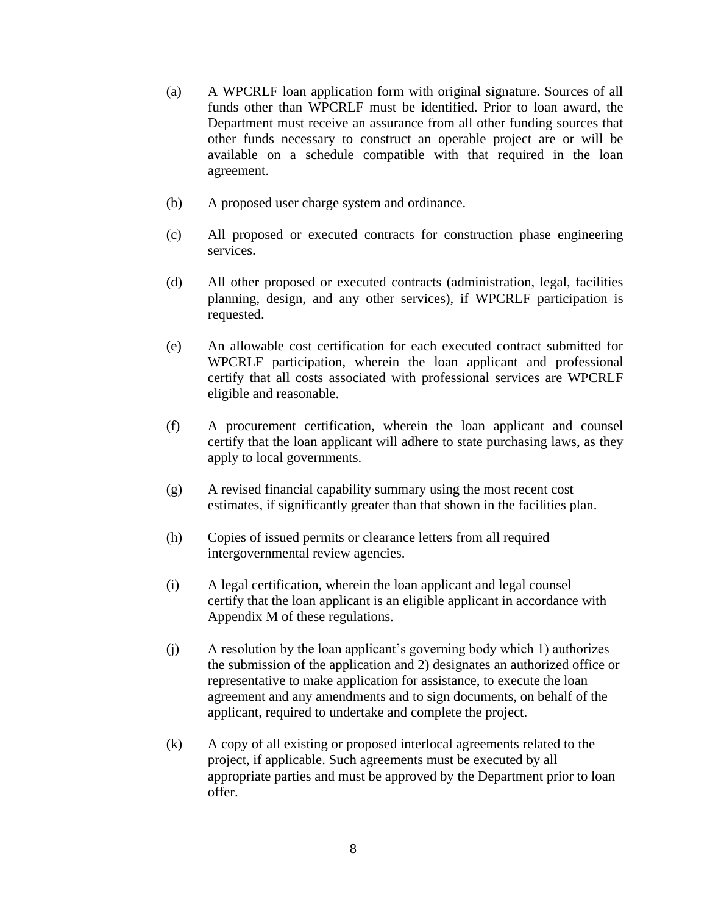- (a) A WPCRLF loan application form with original signature. Sources of all funds other than WPCRLF must be identified. Prior to loan award, the Department must receive an assurance from all other funding sources that other funds necessary to construct an operable project are or will be available on a schedule compatible with that required in the loan agreement.
- (b) A proposed user charge system and ordinance.
- (c) All proposed or executed contracts for construction phase engineering services.
- (d) All other proposed or executed contracts (administration, legal, facilities planning, design, and any other services), if WPCRLF participation is requested.
- (e) An allowable cost certification for each executed contract submitted for WPCRLF participation, wherein the loan applicant and professional certify that all costs associated with professional services are WPCRLF eligible and reasonable.
- (f) A procurement certification, wherein the loan applicant and counsel certify that the loan applicant will adhere to state purchasing laws, as they apply to local governments.
- (g) A revised financial capability summary using the most recent cost estimates, if significantly greater than that shown in the facilities plan.
- (h) Copies of issued permits or clearance letters from all required intergovernmental review agencies.
- (i) A legal certification, wherein the loan applicant and legal counsel certify that the loan applicant is an eligible applicant in accordance with Appendix M of these regulations.
- (j) A resolution by the loan applicant's governing body which 1) authorizes the submission of the application and 2) designates an authorized office or representative to make application for assistance, to execute the loan agreement and any amendments and to sign documents, on behalf of the applicant, required to undertake and complete the project.
- (k) A copy of all existing or proposed interlocal agreements related to the project, if applicable. Such agreements must be executed by all appropriate parties and must be approved by the Department prior to loan offer.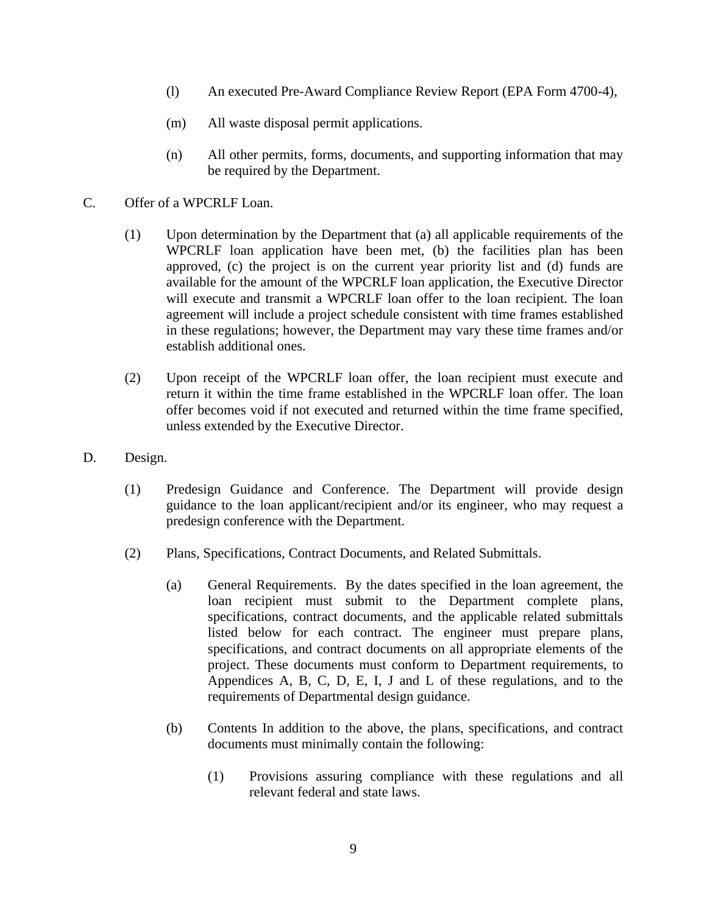- (l) An executed Pre-Award Compliance Review Report (EPA Form 4700-4),
- (m) All waste disposal permit applications.
- (n) All other permits, forms, documents, and supporting information that may be required by the Department.
- C. Offer of a WPCRLF Loan.
	- (1) Upon determination by the Department that (a) all applicable requirements of the WPCRLF loan application have been met, (b) the facilities plan has been approved, (c) the project is on the current year priority list and (d) funds are available for the amount of the WPCRLF loan application, the Executive Director will execute and transmit a WPCRLF loan offer to the loan recipient. The loan agreement will include a project schedule consistent with time frames established in these regulations; however, the Department may vary these time frames and/or establish additional ones.
	- (2) Upon receipt of the WPCRLF loan offer, the loan recipient must execute and return it within the time frame established in the WPCRLF loan offer. The loan offer becomes void if not executed and returned within the time frame specified, unless extended by the Executive Director.
- D. Design.
	- (1) Predesign Guidance and Conference. The Department will provide design guidance to the loan applicant/recipient and/or its engineer, who may request a predesign conference with the Department.
	- (2) Plans, Specifications, Contract Documents, and Related Submittals.
		- (a) General Requirements. By the dates specified in the loan agreement, the loan recipient must submit to the Department complete plans, specifications, contract documents, and the applicable related submittals listed below for each contract. The engineer must prepare plans, specifications, and contract documents on all appropriate elements of the project. These documents must conform to Department requirements, to Appendices A, B, C, D, E, I, J and L of these regulations, and to the requirements of Departmental design guidance.
		- (b) Contents In addition to the above, the plans, specifications, and contract documents must minimally contain the following:
			- (1) Provisions assuring compliance with these regulations and all relevant federal and state laws.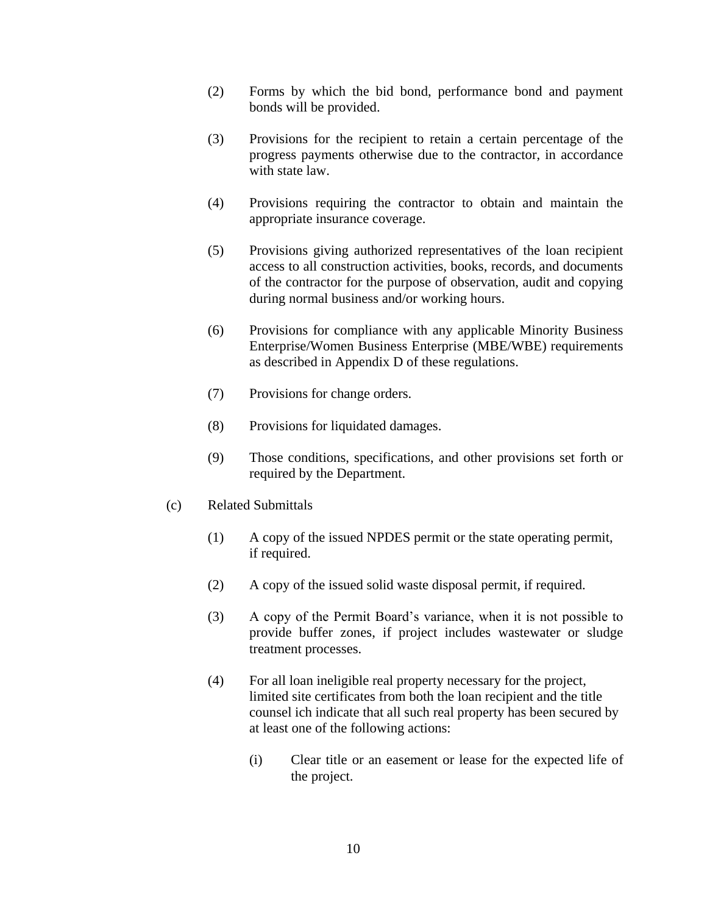- (2) Forms by which the bid bond, performance bond and payment bonds will be provided.
- (3) Provisions for the recipient to retain a certain percentage of the progress payments otherwise due to the contractor, in accordance with state law.
- (4) Provisions requiring the contractor to obtain and maintain the appropriate insurance coverage.
- (5) Provisions giving authorized representatives of the loan recipient access to all construction activities, books, records, and documents of the contractor for the purpose of observation, audit and copying during normal business and/or working hours.
- (6) Provisions for compliance with any applicable Minority Business Enterprise/Women Business Enterprise (MBE/WBE) requirements as described in Appendix D of these regulations.
- (7) Provisions for change orders.
- (8) Provisions for liquidated damages.
- (9) Those conditions, specifications, and other provisions set forth or required by the Department.
- (c) Related Submittals
	- (1) A copy of the issued NPDES permit or the state operating permit, if required.
	- (2) A copy of the issued solid waste disposal permit, if required.
	- (3) A copy of the Permit Board's variance, when it is not possible to provide buffer zones, if project includes wastewater or sludge treatment processes.
	- (4) For all loan ineligible real property necessary for the project, limited site certificates from both the loan recipient and the title counsel ich indicate that all such real property has been secured by at least one of the following actions:
		- (i) Clear title or an easement or lease for the expected life of the project.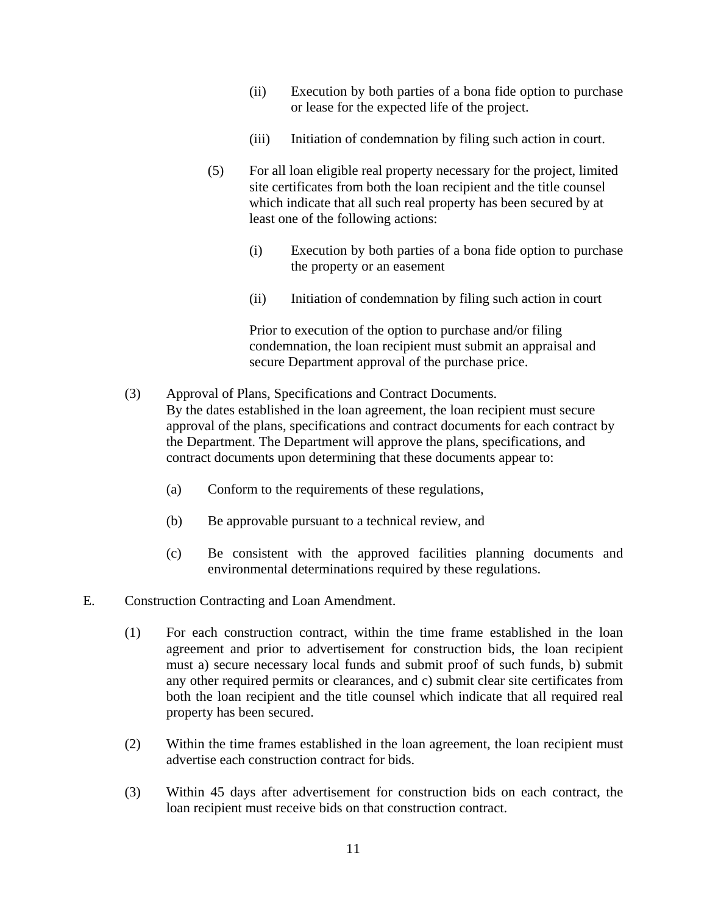- (ii) Execution by both parties of a bona fide option to purchase or lease for the expected life of the project.
- (iii) Initiation of condemnation by filing such action in court.
- (5) For all loan eligible real property necessary for the project, limited site certificates from both the loan recipient and the title counsel which indicate that all such real property has been secured by at least one of the following actions:
	- (i) Execution by both parties of a bona fide option to purchase the property or an easement
	- (ii) Initiation of condemnation by filing such action in court

Prior to execution of the option to purchase and/or filing condemnation, the loan recipient must submit an appraisal and secure Department approval of the purchase price.

- (3) Approval of Plans, Specifications and Contract Documents. By the dates established in the loan agreement, the loan recipient must secure approval of the plans, specifications and contract documents for each contract by the Department. The Department will approve the plans, specifications, and contract documents upon determining that these documents appear to:
	- (a) Conform to the requirements of these regulations,
	- (b) Be approvable pursuant to a technical review, and
	- (c) Be consistent with the approved facilities planning documents and environmental determinations required by these regulations.
- E. Construction Contracting and Loan Amendment.
	- (1) For each construction contract, within the time frame established in the loan agreement and prior to advertisement for construction bids, the loan recipient must a) secure necessary local funds and submit proof of such funds, b) submit any other required permits or clearances, and c) submit clear site certificates from both the loan recipient and the title counsel which indicate that all required real property has been secured.
	- (2) Within the time frames established in the loan agreement, the loan recipient must advertise each construction contract for bids.
	- (3) Within 45 days after advertisement for construction bids on each contract, the loan recipient must receive bids on that construction contract.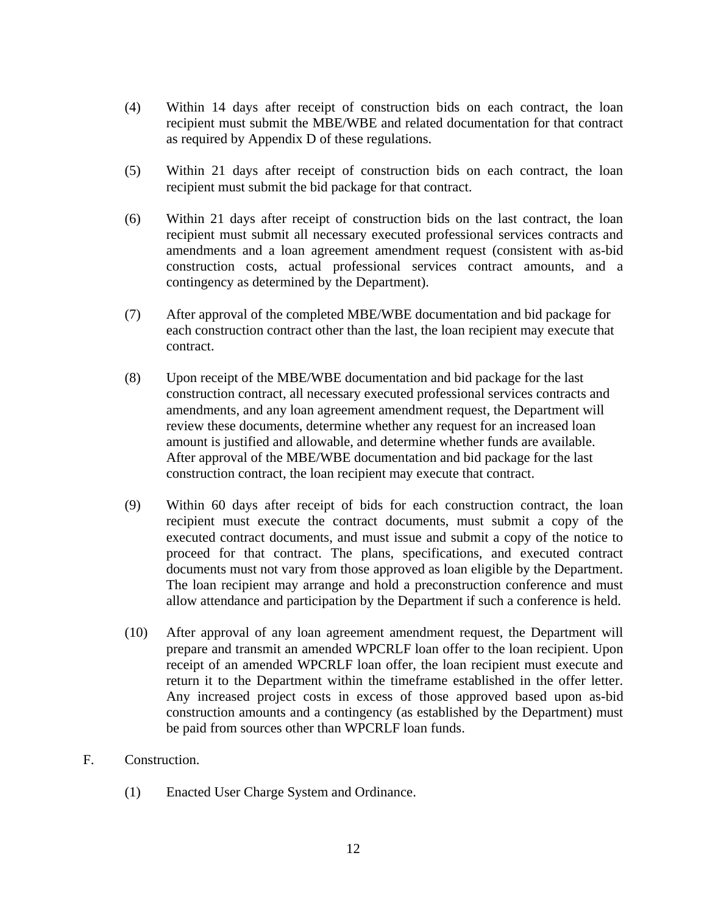- (4) Within 14 days after receipt of construction bids on each contract, the loan recipient must submit the MBE/WBE and related documentation for that contract as required by Appendix D of these regulations.
- (5) Within 21 days after receipt of construction bids on each contract, the loan recipient must submit the bid package for that contract.
- (6) Within 21 days after receipt of construction bids on the last contract, the loan recipient must submit all necessary executed professional services contracts and amendments and a loan agreement amendment request (consistent with as-bid construction costs, actual professional services contract amounts, and a contingency as determined by the Department).
- (7) After approval of the completed MBE/WBE documentation and bid package for each construction contract other than the last, the loan recipient may execute that contract.
- (8) Upon receipt of the MBE/WBE documentation and bid package for the last construction contract, all necessary executed professional services contracts and amendments, and any loan agreement amendment request, the Department will review these documents, determine whether any request for an increased loan amount is justified and allowable, and determine whether funds are available. After approval of the MBE/WBE documentation and bid package for the last construction contract, the loan recipient may execute that contract.
- (9) Within 60 days after receipt of bids for each construction contract, the loan recipient must execute the contract documents, must submit a copy of the executed contract documents, and must issue and submit a copy of the notice to proceed for that contract. The plans, specifications, and executed contract documents must not vary from those approved as loan eligible by the Department. The loan recipient may arrange and hold a preconstruction conference and must allow attendance and participation by the Department if such a conference is held.
- (10) After approval of any loan agreement amendment request, the Department will prepare and transmit an amended WPCRLF loan offer to the loan recipient. Upon receipt of an amended WPCRLF loan offer, the loan recipient must execute and return it to the Department within the timeframe established in the offer letter. Any increased project costs in excess of those approved based upon as-bid construction amounts and a contingency (as established by the Department) must be paid from sources other than WPCRLF loan funds.
- F. Construction.
	- (1) Enacted User Charge System and Ordinance.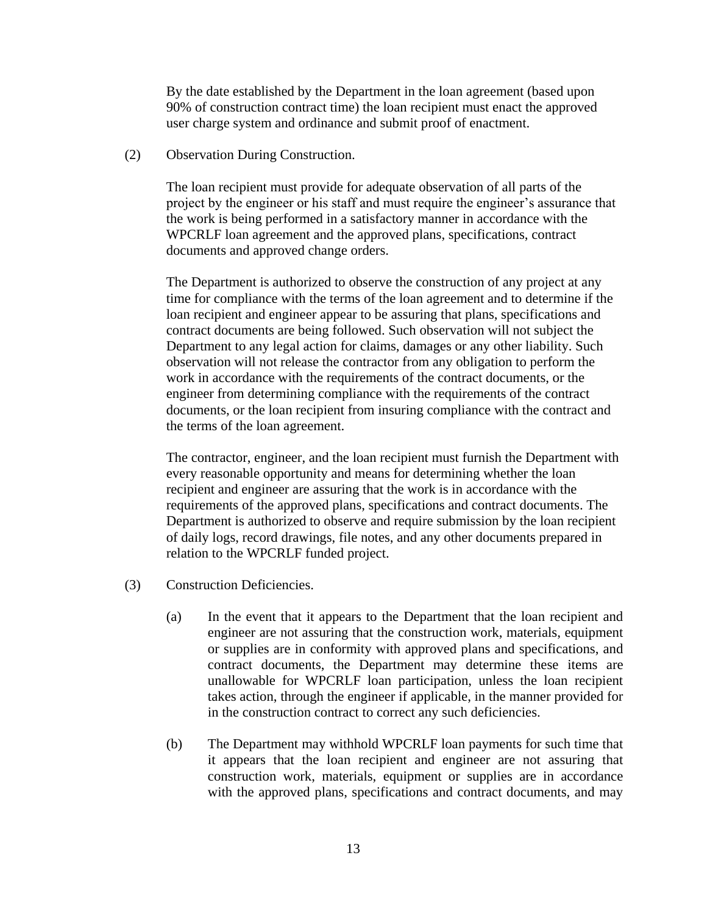By the date established by the Department in the loan agreement (based upon 90% of construction contract time) the loan recipient must enact the approved user charge system and ordinance and submit proof of enactment.

(2) Observation During Construction.

The loan recipient must provide for adequate observation of all parts of the project by the engineer or his staff and must require the engineer's assurance that the work is being performed in a satisfactory manner in accordance with the WPCRLF loan agreement and the approved plans, specifications, contract documents and approved change orders.

The Department is authorized to observe the construction of any project at any time for compliance with the terms of the loan agreement and to determine if the loan recipient and engineer appear to be assuring that plans, specifications and contract documents are being followed. Such observation will not subject the Department to any legal action for claims, damages or any other liability. Such observation will not release the contractor from any obligation to perform the work in accordance with the requirements of the contract documents, or the engineer from determining compliance with the requirements of the contract documents, or the loan recipient from insuring compliance with the contract and the terms of the loan agreement.

The contractor, engineer, and the loan recipient must furnish the Department with every reasonable opportunity and means for determining whether the loan recipient and engineer are assuring that the work is in accordance with the requirements of the approved plans, specifications and contract documents. The Department is authorized to observe and require submission by the loan recipient of daily logs, record drawings, file notes, and any other documents prepared in relation to the WPCRLF funded project.

- (3) Construction Deficiencies.
	- (a) In the event that it appears to the Department that the loan recipient and engineer are not assuring that the construction work, materials, equipment or supplies are in conformity with approved plans and specifications, and contract documents, the Department may determine these items are unallowable for WPCRLF loan participation, unless the loan recipient takes action, through the engineer if applicable, in the manner provided for in the construction contract to correct any such deficiencies.
	- (b) The Department may withhold WPCRLF loan payments for such time that it appears that the loan recipient and engineer are not assuring that construction work, materials, equipment or supplies are in accordance with the approved plans, specifications and contract documents, and may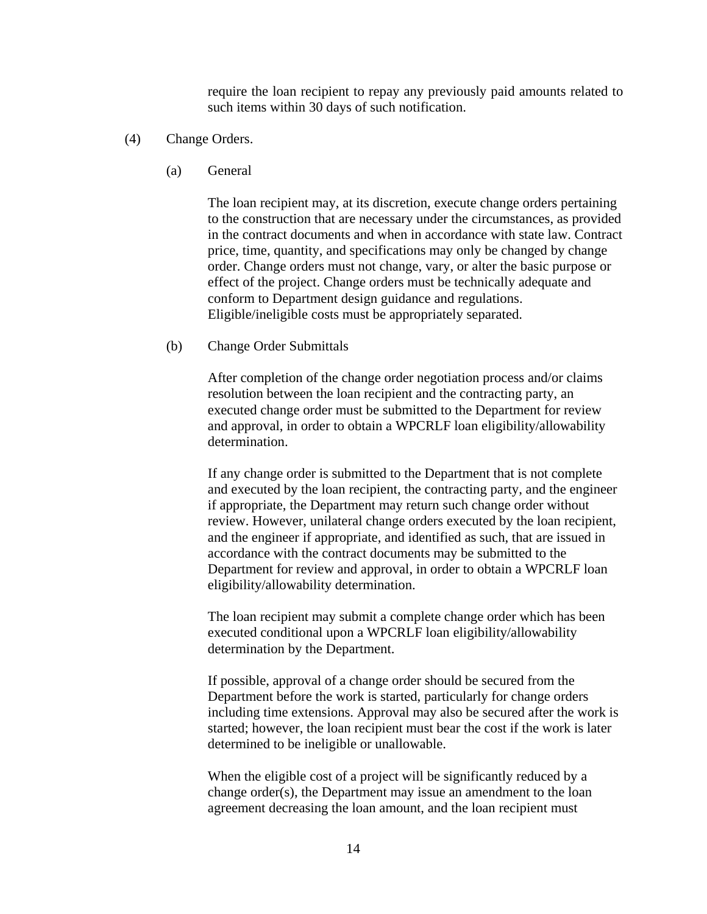require the loan recipient to repay any previously paid amounts related to such items within 30 days of such notification.

- (4) Change Orders.
	- (a) General

The loan recipient may, at its discretion, execute change orders pertaining to the construction that are necessary under the circumstances, as provided in the contract documents and when in accordance with state law. Contract price, time, quantity, and specifications may only be changed by change order. Change orders must not change, vary, or alter the basic purpose or effect of the project. Change orders must be technically adequate and conform to Department design guidance and regulations. Eligible/ineligible costs must be appropriately separated.

(b) Change Order Submittals

After completion of the change order negotiation process and/or claims resolution between the loan recipient and the contracting party, an executed change order must be submitted to the Department for review and approval, in order to obtain a WPCRLF loan eligibility/allowability determination.

If any change order is submitted to the Department that is not complete and executed by the loan recipient, the contracting party, and the engineer if appropriate, the Department may return such change order without review. However, unilateral change orders executed by the loan recipient, and the engineer if appropriate, and identified as such, that are issued in accordance with the contract documents may be submitted to the Department for review and approval, in order to obtain a WPCRLF loan eligibility/allowability determination.

The loan recipient may submit a complete change order which has been executed conditional upon a WPCRLF loan eligibility/allowability determination by the Department.

If possible, approval of a change order should be secured from the Department before the work is started, particularly for change orders including time extensions. Approval may also be secured after the work is started; however, the loan recipient must bear the cost if the work is later determined to be ineligible or unallowable.

When the eligible cost of a project will be significantly reduced by a change order(s), the Department may issue an amendment to the loan agreement decreasing the loan amount, and the loan recipient must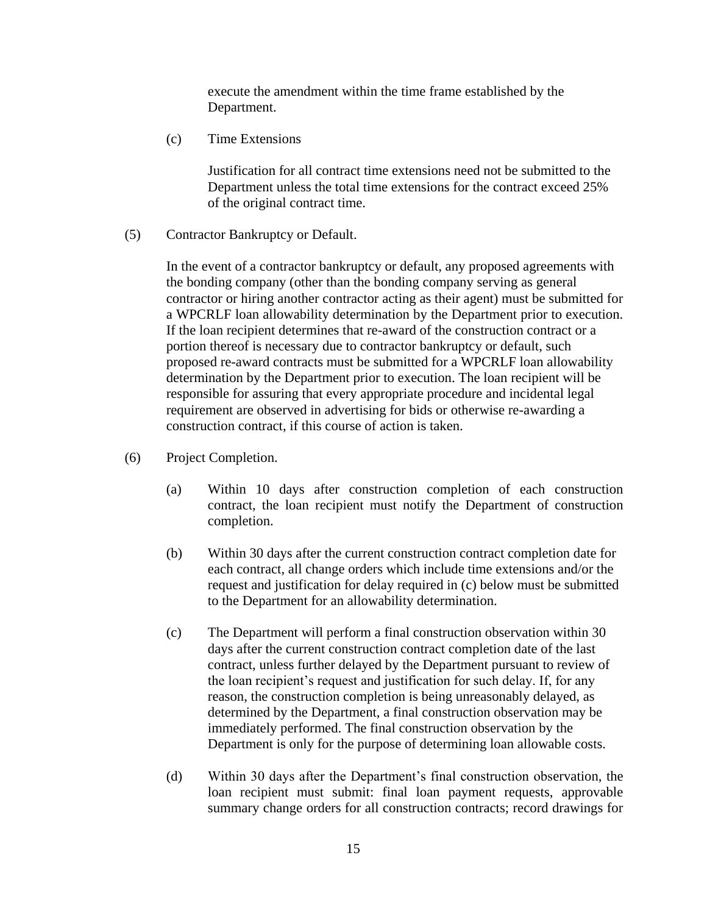execute the amendment within the time frame established by the Department.

(c) Time Extensions

Justification for all contract time extensions need not be submitted to the Department unless the total time extensions for the contract exceed 25% of the original contract time.

(5) Contractor Bankruptcy or Default.

In the event of a contractor bankruptcy or default, any proposed agreements with the bonding company (other than the bonding company serving as general contractor or hiring another contractor acting as their agent) must be submitted for a WPCRLF loan allowability determination by the Department prior to execution. If the loan recipient determines that re-award of the construction contract or a portion thereof is necessary due to contractor bankruptcy or default, such proposed re-award contracts must be submitted for a WPCRLF loan allowability determination by the Department prior to execution. The loan recipient will be responsible for assuring that every appropriate procedure and incidental legal requirement are observed in advertising for bids or otherwise re-awarding a construction contract, if this course of action is taken.

- (6) Project Completion.
	- (a) Within 10 days after construction completion of each construction contract, the loan recipient must notify the Department of construction completion.
	- (b) Within 30 days after the current construction contract completion date for each contract, all change orders which include time extensions and/or the request and justification for delay required in (c) below must be submitted to the Department for an allowability determination.
	- (c) The Department will perform a final construction observation within 30 days after the current construction contract completion date of the last contract, unless further delayed by the Department pursuant to review of the loan recipient's request and justification for such delay. If, for any reason, the construction completion is being unreasonably delayed, as determined by the Department, a final construction observation may be immediately performed. The final construction observation by the Department is only for the purpose of determining loan allowable costs.
	- (d) Within 30 days after the Department's final construction observation, the loan recipient must submit: final loan payment requests, approvable summary change orders for all construction contracts; record drawings for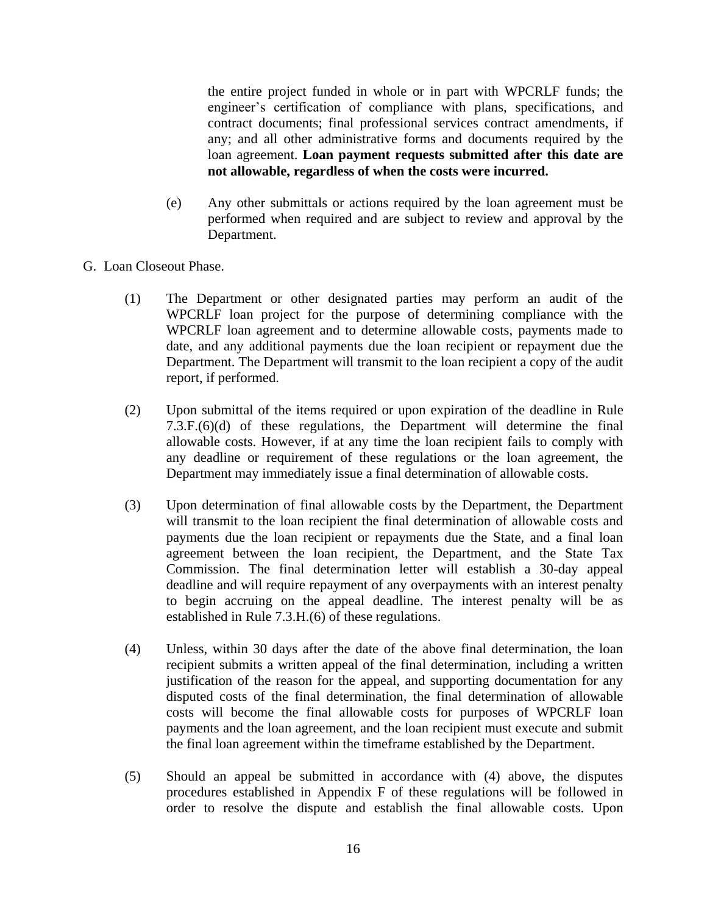the entire project funded in whole or in part with WPCRLF funds; the engineer's certification of compliance with plans, specifications, and contract documents; final professional services contract amendments, if any; and all other administrative forms and documents required by the loan agreement. **Loan payment requests submitted after this date are not allowable, regardless of when the costs were incurred.** 

- (e) Any other submittals or actions required by the loan agreement must be performed when required and are subject to review and approval by the Department.
- G. Loan Closeout Phase.
	- (1) The Department or other designated parties may perform an audit of the WPCRLF loan project for the purpose of determining compliance with the WPCRLF loan agreement and to determine allowable costs, payments made to date, and any additional payments due the loan recipient or repayment due the Department. The Department will transmit to the loan recipient a copy of the audit report, if performed.
	- (2) Upon submittal of the items required or upon expiration of the deadline in Rule 7.3.F.(6)(d) of these regulations, the Department will determine the final allowable costs. However, if at any time the loan recipient fails to comply with any deadline or requirement of these regulations or the loan agreement, the Department may immediately issue a final determination of allowable costs.
	- (3) Upon determination of final allowable costs by the Department, the Department will transmit to the loan recipient the final determination of allowable costs and payments due the loan recipient or repayments due the State, and a final loan agreement between the loan recipient, the Department, and the State Tax Commission. The final determination letter will establish a 30-day appeal deadline and will require repayment of any overpayments with an interest penalty to begin accruing on the appeal deadline. The interest penalty will be as established in Rule 7.3.H.(6) of these regulations.
	- (4) Unless, within 30 days after the date of the above final determination, the loan recipient submits a written appeal of the final determination, including a written justification of the reason for the appeal, and supporting documentation for any disputed costs of the final determination, the final determination of allowable costs will become the final allowable costs for purposes of WPCRLF loan payments and the loan agreement, and the loan recipient must execute and submit the final loan agreement within the timeframe established by the Department.
	- (5) Should an appeal be submitted in accordance with (4) above, the disputes procedures established in Appendix F of these regulations will be followed in order to resolve the dispute and establish the final allowable costs. Upon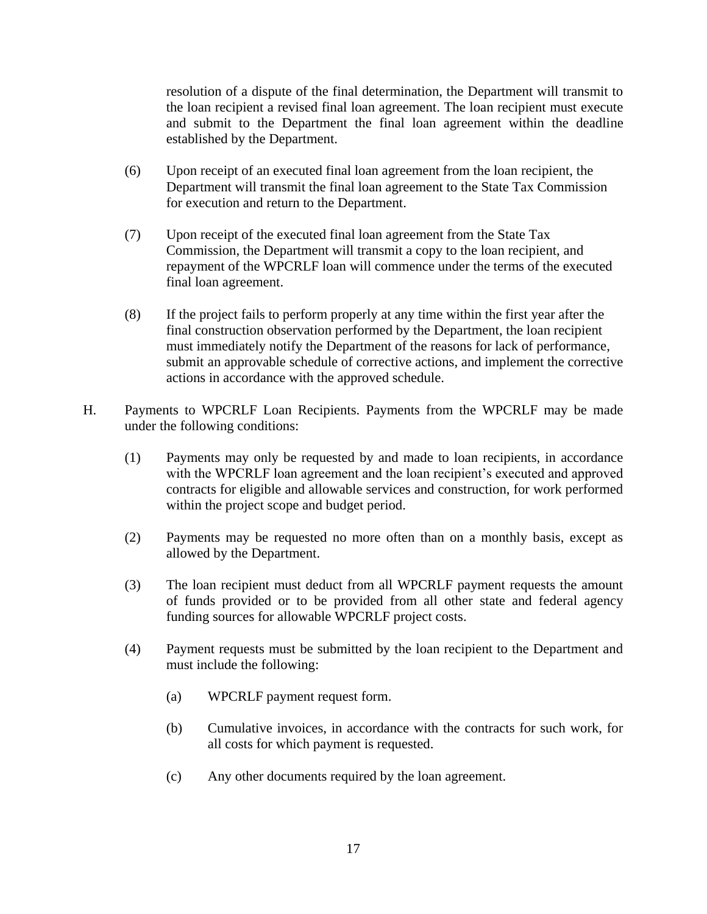resolution of a dispute of the final determination, the Department will transmit to the loan recipient a revised final loan agreement. The loan recipient must execute and submit to the Department the final loan agreement within the deadline established by the Department.

- (6) Upon receipt of an executed final loan agreement from the loan recipient, the Department will transmit the final loan agreement to the State Tax Commission for execution and return to the Department.
- (7) Upon receipt of the executed final loan agreement from the State Tax Commission, the Department will transmit a copy to the loan recipient, and repayment of the WPCRLF loan will commence under the terms of the executed final loan agreement.
- (8) If the project fails to perform properly at any time within the first year after the final construction observation performed by the Department, the loan recipient must immediately notify the Department of the reasons for lack of performance, submit an approvable schedule of corrective actions, and implement the corrective actions in accordance with the approved schedule.
- H. Payments to WPCRLF Loan Recipients. Payments from the WPCRLF may be made under the following conditions:
	- (1) Payments may only be requested by and made to loan recipients, in accordance with the WPCRLF loan agreement and the loan recipient's executed and approved contracts for eligible and allowable services and construction, for work performed within the project scope and budget period.
	- (2) Payments may be requested no more often than on a monthly basis, except as allowed by the Department.
	- (3) The loan recipient must deduct from all WPCRLF payment requests the amount of funds provided or to be provided from all other state and federal agency funding sources for allowable WPCRLF project costs.
	- (4) Payment requests must be submitted by the loan recipient to the Department and must include the following:
		- (a) WPCRLF payment request form.
		- (b) Cumulative invoices, in accordance with the contracts for such work, for all costs for which payment is requested.
		- (c) Any other documents required by the loan agreement.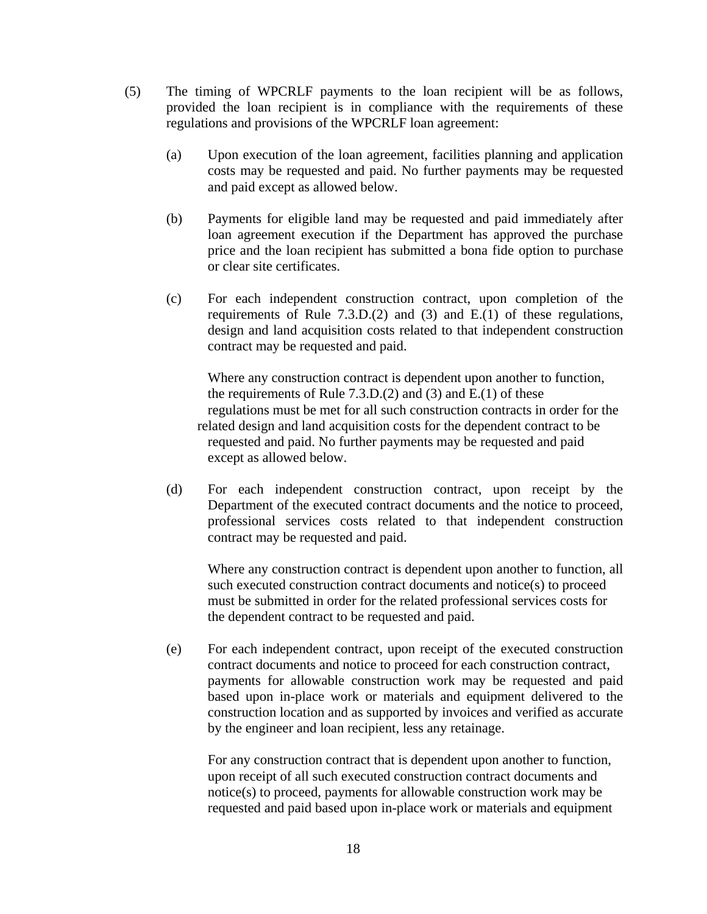- (5) The timing of WPCRLF payments to the loan recipient will be as follows, provided the loan recipient is in compliance with the requirements of these regulations and provisions of the WPCRLF loan agreement:
	- (a) Upon execution of the loan agreement, facilities planning and application costs may be requested and paid. No further payments may be requested and paid except as allowed below.
	- (b) Payments for eligible land may be requested and paid immediately after loan agreement execution if the Department has approved the purchase price and the loan recipient has submitted a bona fide option to purchase or clear site certificates.
	- (c) For each independent construction contract, upon completion of the requirements of Rule 7.3.D.(2) and (3) and E.(1) of these regulations, design and land acquisition costs related to that independent construction contract may be requested and paid.

Where any construction contract is dependent upon another to function, the requirements of Rule 7.3.D.(2) and (3) and E.(1) of these regulations must be met for all such construction contracts in order for the related design and land acquisition costs for the dependent contract to be requested and paid. No further payments may be requested and paid except as allowed below.

(d) For each independent construction contract, upon receipt by the Department of the executed contract documents and the notice to proceed, professional services costs related to that independent construction contract may be requested and paid.

Where any construction contract is dependent upon another to function, all such executed construction contract documents and notice(s) to proceed must be submitted in order for the related professional services costs for the dependent contract to be requested and paid.

(e) For each independent contract, upon receipt of the executed construction contract documents and notice to proceed for each construction contract, payments for allowable construction work may be requested and paid based upon in-place work or materials and equipment delivered to the construction location and as supported by invoices and verified as accurate by the engineer and loan recipient, less any retainage.

For any construction contract that is dependent upon another to function, upon receipt of all such executed construction contract documents and notice(s) to proceed, payments for allowable construction work may be requested and paid based upon in-place work or materials and equipment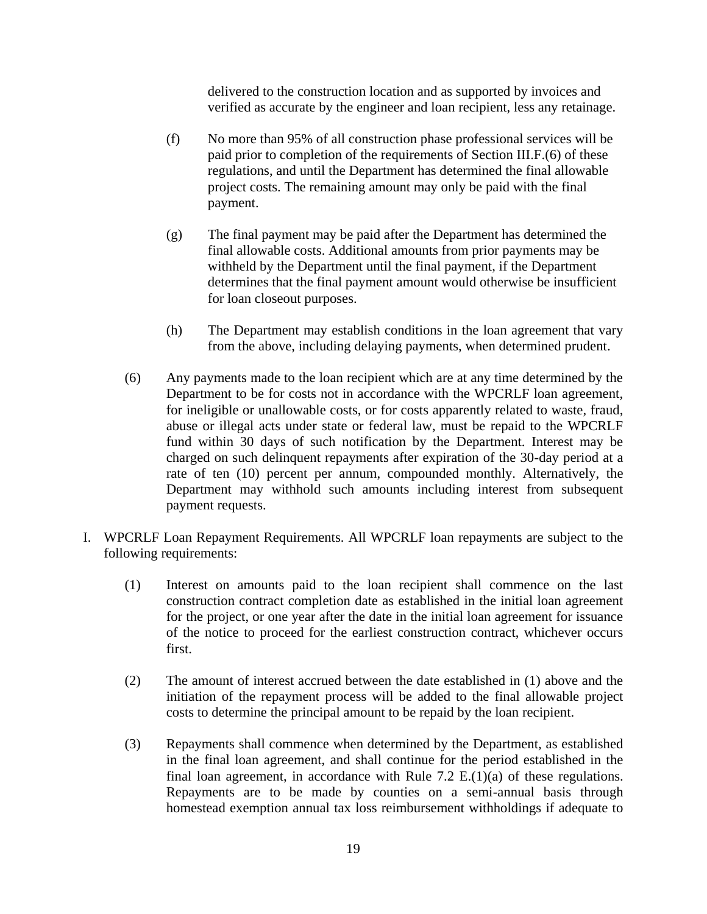delivered to the construction location and as supported by invoices and verified as accurate by the engineer and loan recipient, less any retainage.

- (f) No more than 95% of all construction phase professional services will be paid prior to completion of the requirements of Section III.F.(6) of these regulations, and until the Department has determined the final allowable project costs. The remaining amount may only be paid with the final payment.
- (g) The final payment may be paid after the Department has determined the final allowable costs. Additional amounts from prior payments may be withheld by the Department until the final payment, if the Department determines that the final payment amount would otherwise be insufficient for loan closeout purposes.
- (h) The Department may establish conditions in the loan agreement that vary from the above, including delaying payments, when determined prudent.
- (6) Any payments made to the loan recipient which are at any time determined by the Department to be for costs not in accordance with the WPCRLF loan agreement, for ineligible or unallowable costs, or for costs apparently related to waste, fraud, abuse or illegal acts under state or federal law, must be repaid to the WPCRLF fund within 30 days of such notification by the Department. Interest may be charged on such delinquent repayments after expiration of the 30-day period at a rate of ten (10) percent per annum, compounded monthly. Alternatively, the Department may withhold such amounts including interest from subsequent payment requests.
- I. WPCRLF Loan Repayment Requirements. All WPCRLF loan repayments are subject to the following requirements:
	- (1) Interest on amounts paid to the loan recipient shall commence on the last construction contract completion date as established in the initial loan agreement for the project, or one year after the date in the initial loan agreement for issuance of the notice to proceed for the earliest construction contract, whichever occurs first.
	- (2) The amount of interest accrued between the date established in (1) above and the initiation of the repayment process will be added to the final allowable project costs to determine the principal amount to be repaid by the loan recipient.
	- (3) Repayments shall commence when determined by the Department, as established in the final loan agreement, and shall continue for the period established in the final loan agreement, in accordance with Rule 7.2  $E(1)(a)$  of these regulations. Repayments are to be made by counties on a semi-annual basis through homestead exemption annual tax loss reimbursement withholdings if adequate to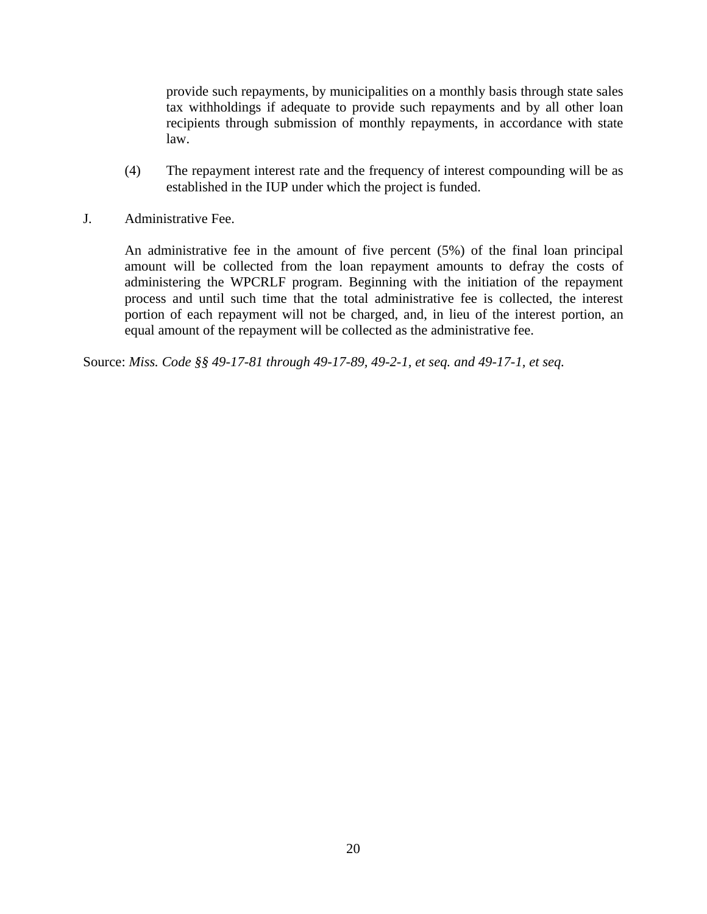provide such repayments, by municipalities on a monthly basis through state sales tax withholdings if adequate to provide such repayments and by all other loan recipients through submission of monthly repayments, in accordance with state law.

- (4) The repayment interest rate and the frequency of interest compounding will be as established in the IUP under which the project is funded.
- J. Administrative Fee.

An administrative fee in the amount of five percent (5%) of the final loan principal amount will be collected from the loan repayment amounts to defray the costs of administering the WPCRLF program. Beginning with the initiation of the repayment process and until such time that the total administrative fee is collected, the interest portion of each repayment will not be charged, and, in lieu of the interest portion, an equal amount of the repayment will be collected as the administrative fee.

Source: *Miss. Code §§ 49-17-81 through 49-17-89, 49-2-1, et seq. and 49-17-1, et seq.*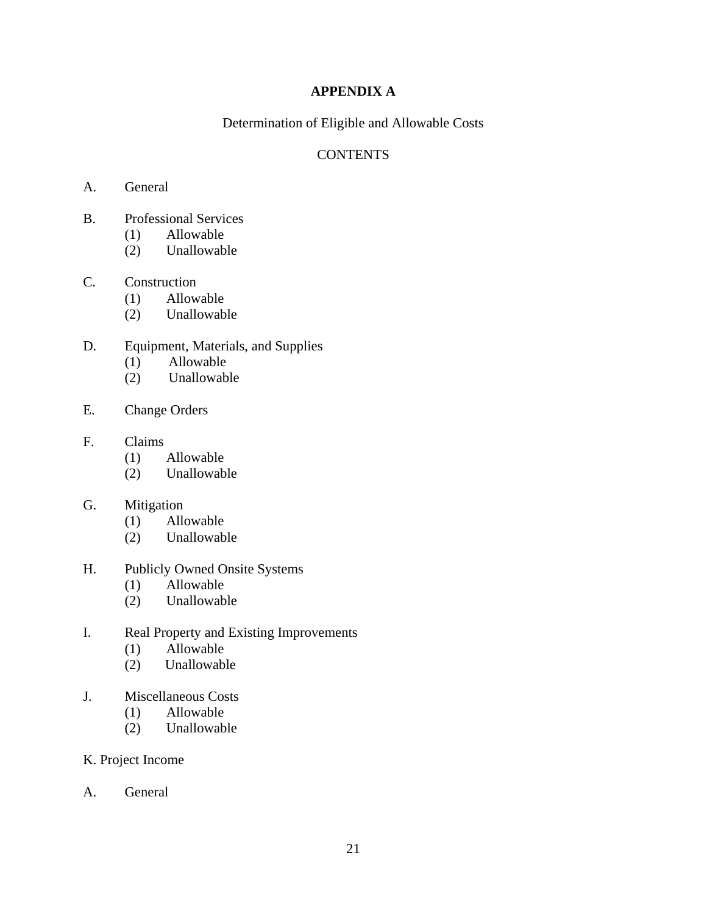# **APPENDIX A**

Determination of Eligible and Allowable Costs

# **CONTENTS**

- A. General
- B. Professional Services
	- (1) Allowable
	- (2) Unallowable

## C. Construction

- (1) Allowable
	- (2) Unallowable
- D. Equipment, Materials, and Supplies
	- (1) Allowable
	- (2) Unallowable
- E. Change Orders

#### F. Claims

- (1) Allowable
- (2) Unallowable

# G. Mitigation

- (1) Allowable
- (2) Unallowable

# H. Publicly Owned Onsite Systems

- (1) Allowable
- (2) Unallowable
- I. Real Property and Existing Improvements
	- (1) Allowable
	- (2) Unallowable
- J. Miscellaneous Costs
	- (1) Allowable
	- (2) Unallowable
- K. Project Income
- A. General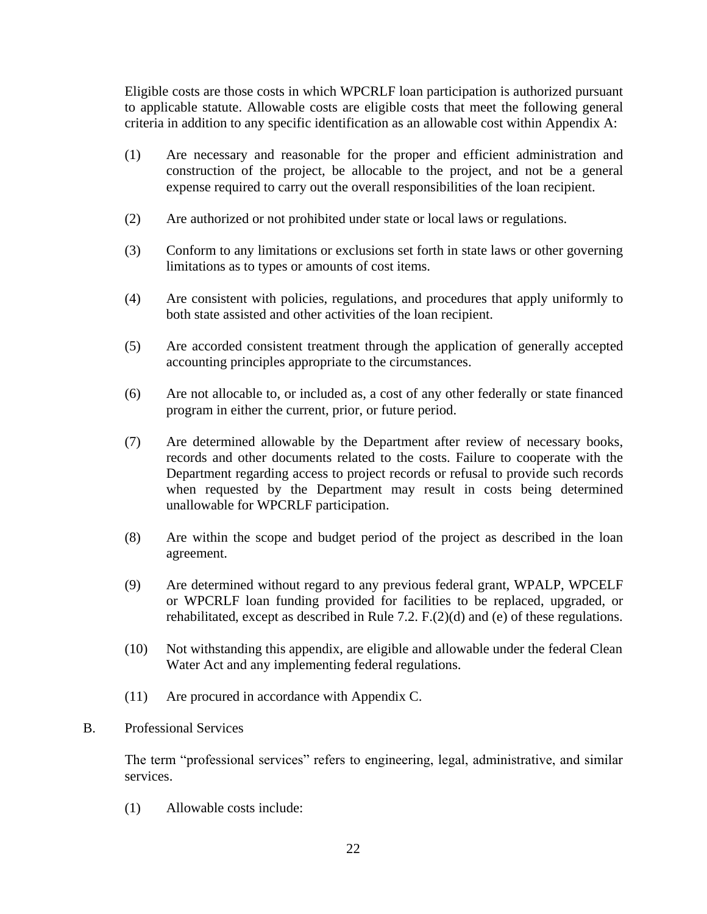Eligible costs are those costs in which WPCRLF loan participation is authorized pursuant to applicable statute. Allowable costs are eligible costs that meet the following general criteria in addition to any specific identification as an allowable cost within Appendix A:

- (1) Are necessary and reasonable for the proper and efficient administration and construction of the project, be allocable to the project, and not be a general expense required to carry out the overall responsibilities of the loan recipient.
- (2) Are authorized or not prohibited under state or local laws or regulations.
- (3) Conform to any limitations or exclusions set forth in state laws or other governing limitations as to types or amounts of cost items.
- (4) Are consistent with policies, regulations, and procedures that apply uniformly to both state assisted and other activities of the loan recipient.
- (5) Are accorded consistent treatment through the application of generally accepted accounting principles appropriate to the circumstances.
- (6) Are not allocable to, or included as, a cost of any other federally or state financed program in either the current, prior, or future period.
- (7) Are determined allowable by the Department after review of necessary books, records and other documents related to the costs. Failure to cooperate with the Department regarding access to project records or refusal to provide such records when requested by the Department may result in costs being determined unallowable for WPCRLF participation.
- (8) Are within the scope and budget period of the project as described in the loan agreement.
- (9) Are determined without regard to any previous federal grant, WPALP, WPCELF or WPCRLF loan funding provided for facilities to be replaced, upgraded, or rehabilitated, except as described in Rule 7.2. F.(2)(d) and (e) of these regulations.
- (10) Not withstanding this appendix, are eligible and allowable under the federal Clean Water Act and any implementing federal regulations.
- (11) Are procured in accordance with Appendix C.

# B. Professional Services

The term "professional services" refers to engineering, legal, administrative, and similar services.

(1) Allowable costs include: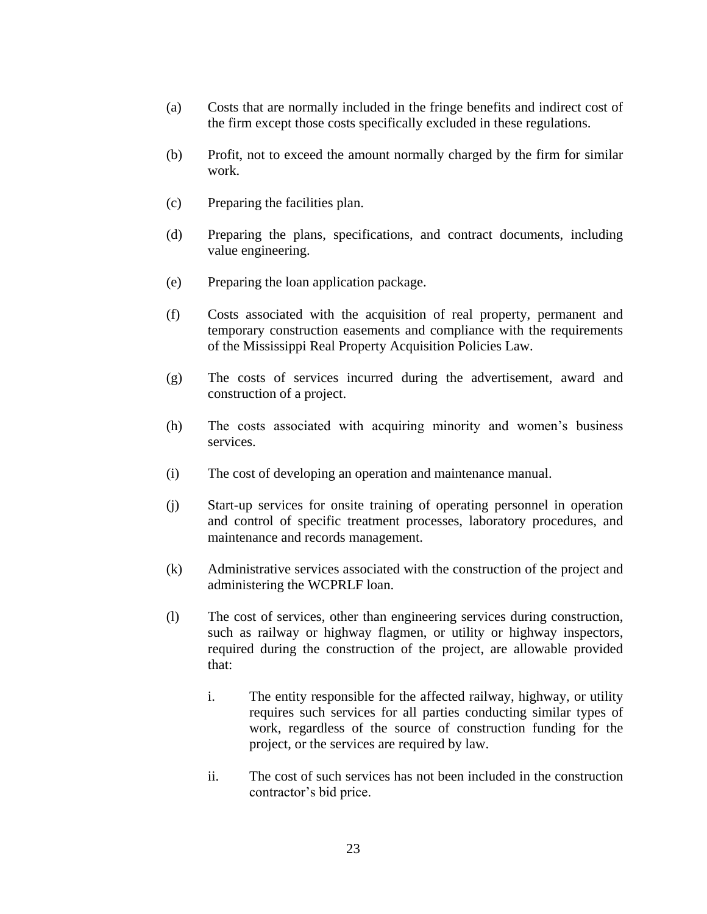- (a) Costs that are normally included in the fringe benefits and indirect cost of the firm except those costs specifically excluded in these regulations.
- (b) Profit, not to exceed the amount normally charged by the firm for similar work.
- (c) Preparing the facilities plan.
- (d) Preparing the plans, specifications, and contract documents, including value engineering.
- (e) Preparing the loan application package.
- (f) Costs associated with the acquisition of real property, permanent and temporary construction easements and compliance with the requirements of the Mississippi Real Property Acquisition Policies Law.
- (g) The costs of services incurred during the advertisement, award and construction of a project.
- (h) The costs associated with acquiring minority and women's business services.
- (i) The cost of developing an operation and maintenance manual.
- (j) Start-up services for onsite training of operating personnel in operation and control of specific treatment processes, laboratory procedures, and maintenance and records management.
- (k) Administrative services associated with the construction of the project and administering the WCPRLF loan.
- (l) The cost of services, other than engineering services during construction, such as railway or highway flagmen, or utility or highway inspectors, required during the construction of the project, are allowable provided that:
	- i. The entity responsible for the affected railway, highway, or utility requires such services for all parties conducting similar types of work, regardless of the source of construction funding for the project, or the services are required by law.
	- ii. The cost of such services has not been included in the construction contractor's bid price.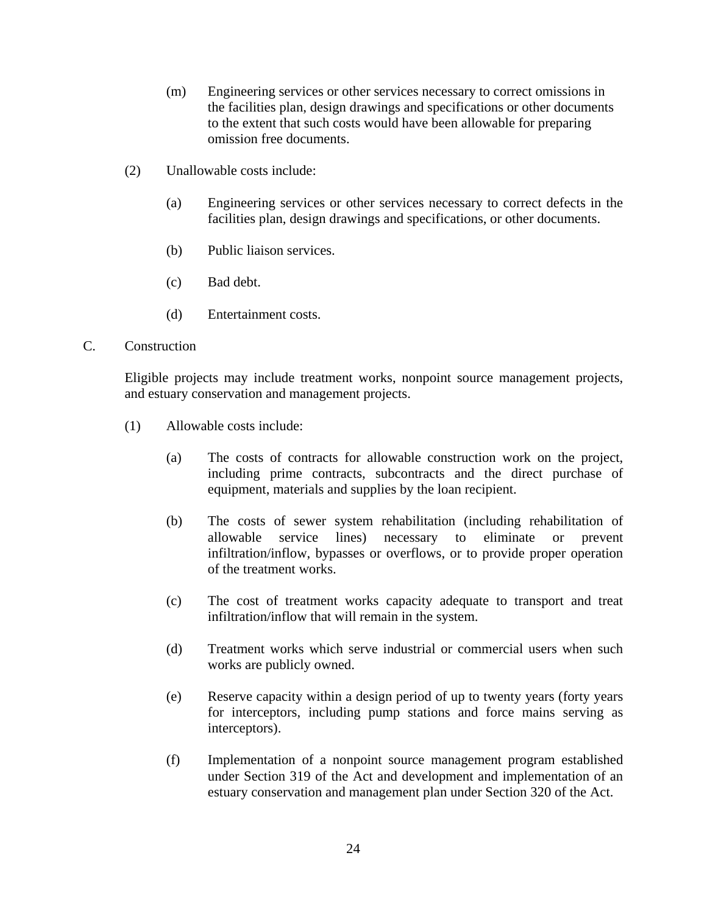- (m) Engineering services or other services necessary to correct omissions in the facilities plan, design drawings and specifications or other documents to the extent that such costs would have been allowable for preparing omission free documents.
- (2) Unallowable costs include:
	- (a) Engineering services or other services necessary to correct defects in the facilities plan, design drawings and specifications, or other documents.
	- (b) Public liaison services.
	- (c) Bad debt.
	- (d) Entertainment costs.
- C. Construction

Eligible projects may include treatment works, nonpoint source management projects, and estuary conservation and management projects.

- (1) Allowable costs include:
	- (a) The costs of contracts for allowable construction work on the project, including prime contracts, subcontracts and the direct purchase of equipment, materials and supplies by the loan recipient.
	- (b) The costs of sewer system rehabilitation (including rehabilitation of allowable service lines) necessary to eliminate or prevent infiltration/inflow, bypasses or overflows, or to provide proper operation of the treatment works.
	- (c) The cost of treatment works capacity adequate to transport and treat infiltration/inflow that will remain in the system.
	- (d) Treatment works which serve industrial or commercial users when such works are publicly owned.
	- (e) Reserve capacity within a design period of up to twenty years (forty years for interceptors, including pump stations and force mains serving as interceptors).
	- (f) Implementation of a nonpoint source management program established under Section 319 of the Act and development and implementation of an estuary conservation and management plan under Section 320 of the Act.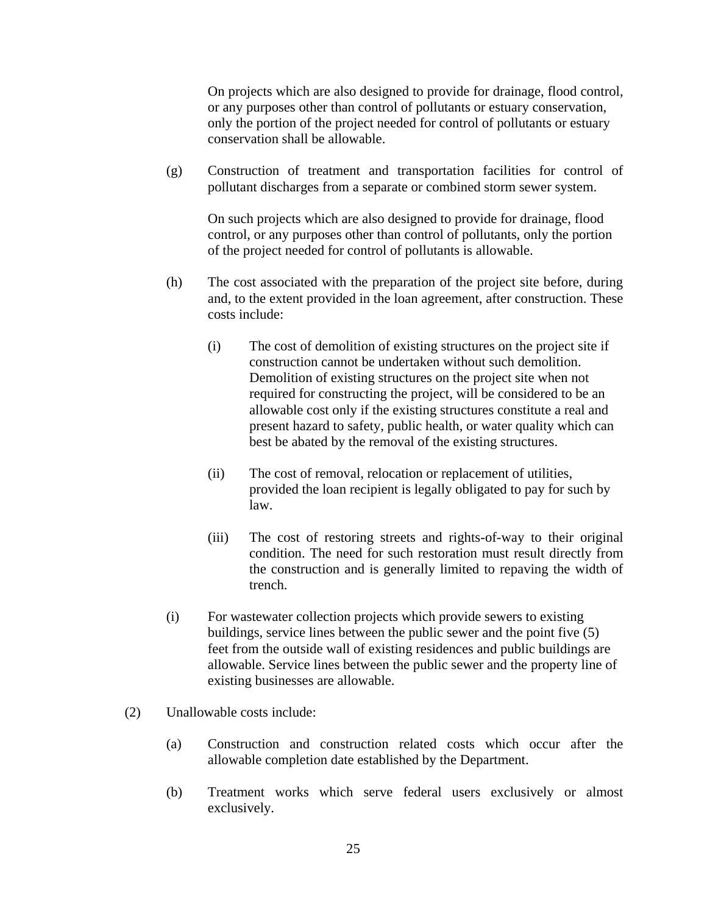On projects which are also designed to provide for drainage, flood control, or any purposes other than control of pollutants or estuary conservation, only the portion of the project needed for control of pollutants or estuary conservation shall be allowable.

(g) Construction of treatment and transportation facilities for control of pollutant discharges from a separate or combined storm sewer system.

On such projects which are also designed to provide for drainage, flood control, or any purposes other than control of pollutants, only the portion of the project needed for control of pollutants is allowable.

- (h) The cost associated with the preparation of the project site before, during and, to the extent provided in the loan agreement, after construction. These costs include:
	- (i) The cost of demolition of existing structures on the project site if construction cannot be undertaken without such demolition. Demolition of existing structures on the project site when not required for constructing the project, will be considered to be an allowable cost only if the existing structures constitute a real and present hazard to safety, public health, or water quality which can best be abated by the removal of the existing structures.
	- (ii) The cost of removal, relocation or replacement of utilities, provided the loan recipient is legally obligated to pay for such by law.
	- (iii) The cost of restoring streets and rights-of-way to their original condition. The need for such restoration must result directly from the construction and is generally limited to repaving the width of trench.
- (i) For wastewater collection projects which provide sewers to existing buildings, service lines between the public sewer and the point five (5) feet from the outside wall of existing residences and public buildings are allowable. Service lines between the public sewer and the property line of existing businesses are allowable.
- (2) Unallowable costs include:
	- (a) Construction and construction related costs which occur after the allowable completion date established by the Department.
	- (b) Treatment works which serve federal users exclusively or almost exclusively.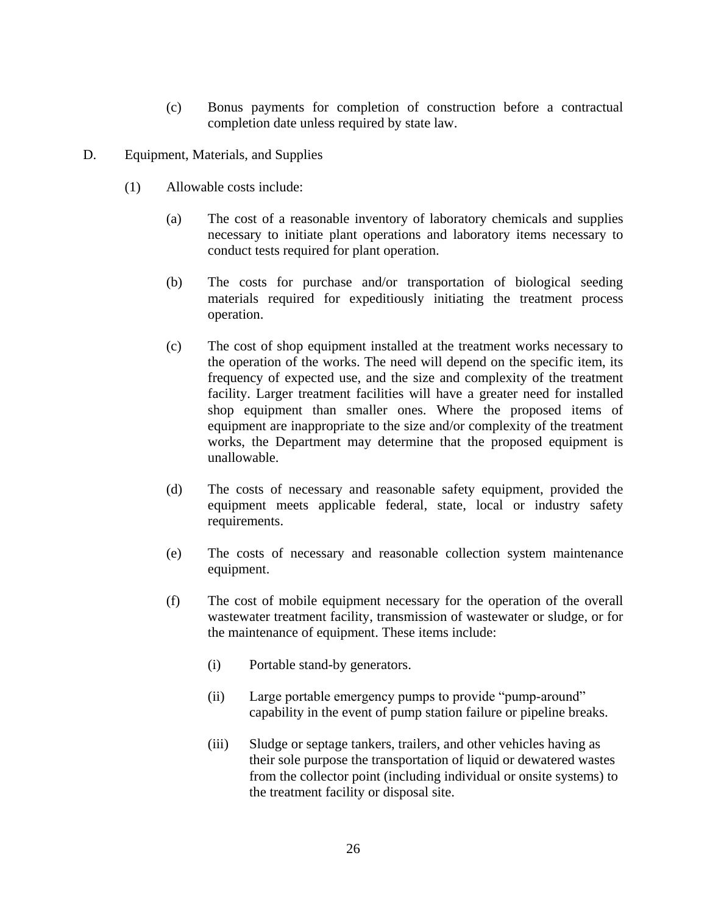- (c) Bonus payments for completion of construction before a contractual completion date unless required by state law.
- D. Equipment, Materials, and Supplies
	- (1) Allowable costs include:
		- (a) The cost of a reasonable inventory of laboratory chemicals and supplies necessary to initiate plant operations and laboratory items necessary to conduct tests required for plant operation.
		- (b) The costs for purchase and/or transportation of biological seeding materials required for expeditiously initiating the treatment process operation.
		- (c) The cost of shop equipment installed at the treatment works necessary to the operation of the works. The need will depend on the specific item, its frequency of expected use, and the size and complexity of the treatment facility. Larger treatment facilities will have a greater need for installed shop equipment than smaller ones. Where the proposed items of equipment are inappropriate to the size and/or complexity of the treatment works, the Department may determine that the proposed equipment is unallowable.
		- (d) The costs of necessary and reasonable safety equipment, provided the equipment meets applicable federal, state, local or industry safety requirements.
		- (e) The costs of necessary and reasonable collection system maintenance equipment.
		- (f) The cost of mobile equipment necessary for the operation of the overall wastewater treatment facility, transmission of wastewater or sludge, or for the maintenance of equipment. These items include:
			- (i) Portable stand-by generators.
			- (ii) Large portable emergency pumps to provide "pump-around" capability in the event of pump station failure or pipeline breaks.
			- (iii) Sludge or septage tankers, trailers, and other vehicles having as their sole purpose the transportation of liquid or dewatered wastes from the collector point (including individual or onsite systems) to the treatment facility or disposal site.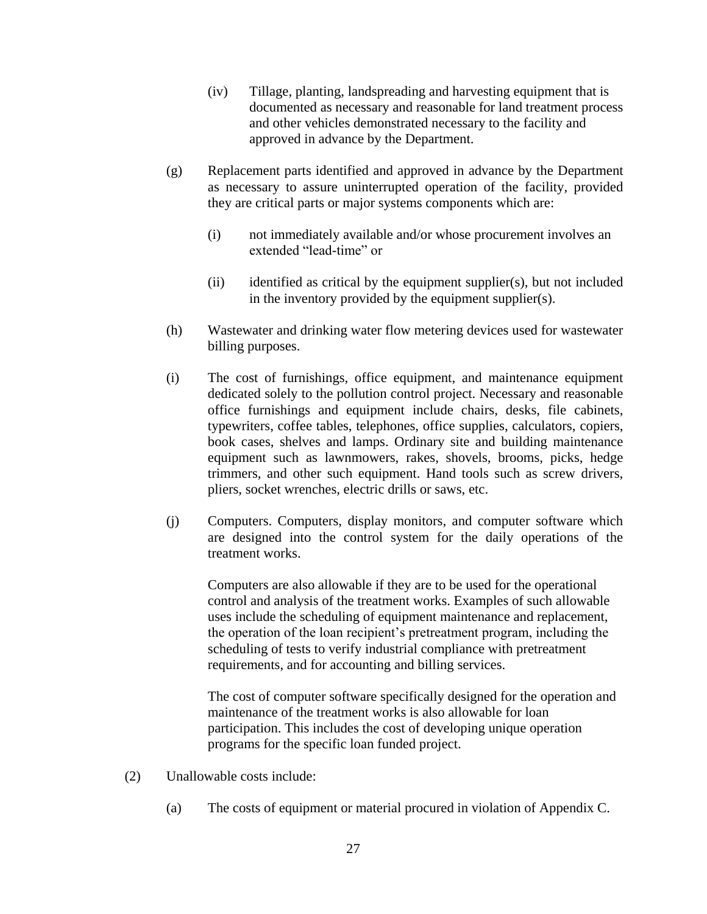- (iv) Tillage, planting, landspreading and harvesting equipment that is documented as necessary and reasonable for land treatment process and other vehicles demonstrated necessary to the facility and approved in advance by the Department.
- (g) Replacement parts identified and approved in advance by the Department as necessary to assure uninterrupted operation of the facility, provided they are critical parts or major systems components which are:
	- (i) not immediately available and/or whose procurement involves an extended "lead-time" or
	- (ii) identified as critical by the equipment supplier(s), but not included in the inventory provided by the equipment supplier(s).
- (h) Wastewater and drinking water flow metering devices used for wastewater billing purposes.
- (i) The cost of furnishings, office equipment, and maintenance equipment dedicated solely to the pollution control project. Necessary and reasonable office furnishings and equipment include chairs, desks, file cabinets, typewriters, coffee tables, telephones, office supplies, calculators, copiers, book cases, shelves and lamps. Ordinary site and building maintenance equipment such as lawnmowers, rakes, shovels, brooms, picks, hedge trimmers, and other such equipment. Hand tools such as screw drivers, pliers, socket wrenches, electric drills or saws, etc.
- (j) Computers. Computers, display monitors, and computer software which are designed into the control system for the daily operations of the treatment works.

Computers are also allowable if they are to be used for the operational control and analysis of the treatment works. Examples of such allowable uses include the scheduling of equipment maintenance and replacement, the operation of the loan recipient's pretreatment program, including the scheduling of tests to verify industrial compliance with pretreatment requirements, and for accounting and billing services.

The cost of computer software specifically designed for the operation and maintenance of the treatment works is also allowable for loan participation. This includes the cost of developing unique operation programs for the specific loan funded project.

- (2) Unallowable costs include:
	- (a) The costs of equipment or material procured in violation of Appendix C.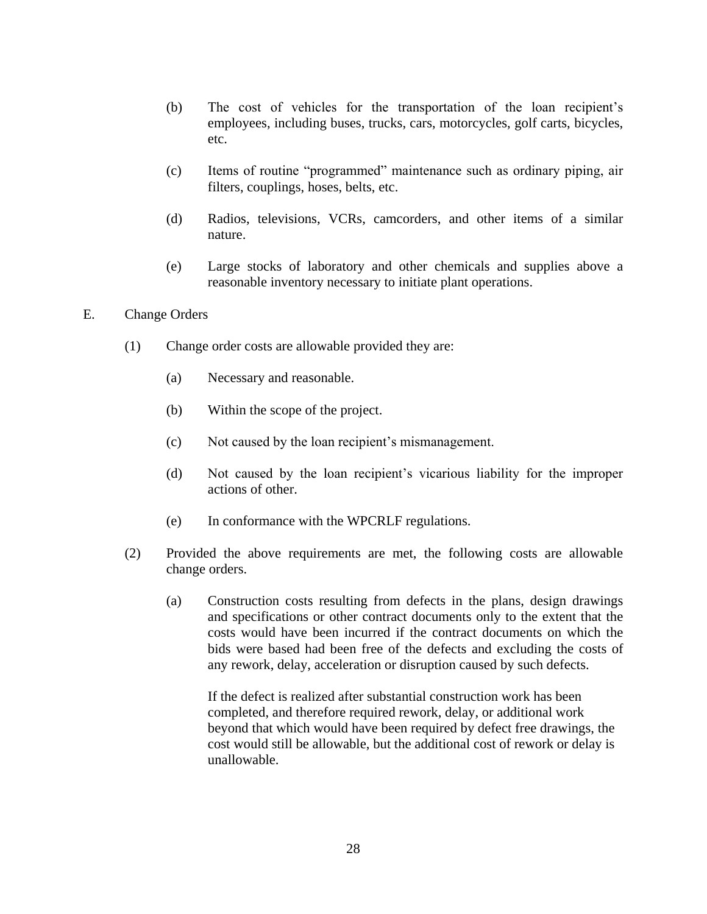- (b) The cost of vehicles for the transportation of the loan recipient's employees, including buses, trucks, cars, motorcycles, golf carts, bicycles, etc.
- (c) Items of routine "programmed" maintenance such as ordinary piping, air filters, couplings, hoses, belts, etc.
- (d) Radios, televisions, VCRs, camcorders, and other items of a similar nature.
- (e) Large stocks of laboratory and other chemicals and supplies above a reasonable inventory necessary to initiate plant operations.

#### E. Change Orders

- (1) Change order costs are allowable provided they are:
	- (a) Necessary and reasonable.
	- (b) Within the scope of the project.
	- (c) Not caused by the loan recipient's mismanagement.
	- (d) Not caused by the loan recipient's vicarious liability for the improper actions of other.
	- (e) In conformance with the WPCRLF regulations.
- (2) Provided the above requirements are met, the following costs are allowable change orders.
	- (a) Construction costs resulting from defects in the plans, design drawings and specifications or other contract documents only to the extent that the costs would have been incurred if the contract documents on which the bids were based had been free of the defects and excluding the costs of any rework, delay, acceleration or disruption caused by such defects.

If the defect is realized after substantial construction work has been completed, and therefore required rework, delay, or additional work beyond that which would have been required by defect free drawings, the cost would still be allowable, but the additional cost of rework or delay is unallowable.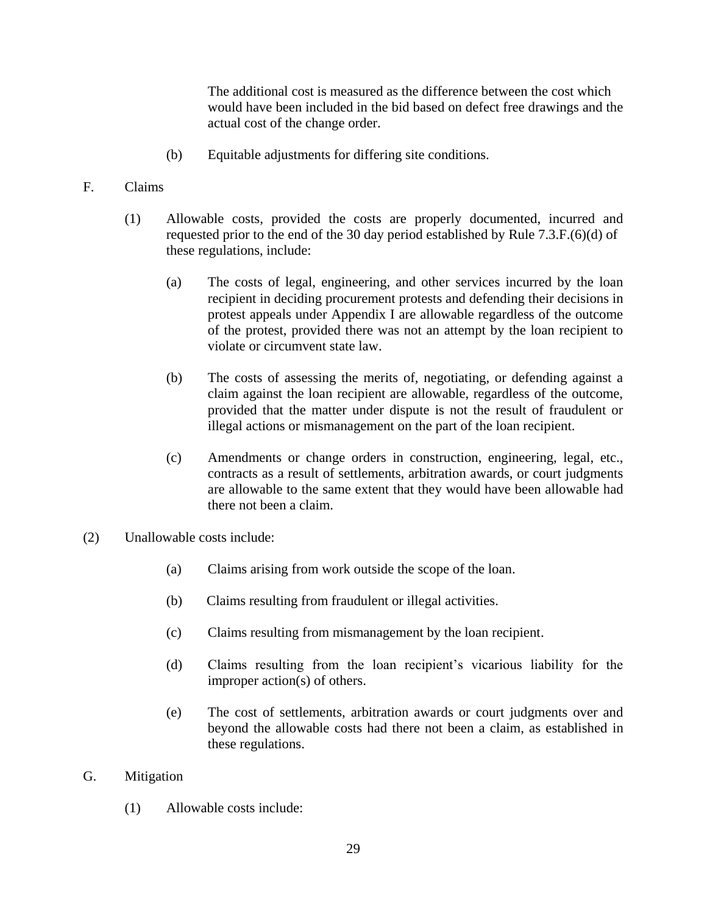The additional cost is measured as the difference between the cost which would have been included in the bid based on defect free drawings and the actual cost of the change order.

(b) Equitable adjustments for differing site conditions.

## F. Claims

- (1) Allowable costs, provided the costs are properly documented, incurred and requested prior to the end of the 30 day period established by Rule 7.3.F.(6)(d) of these regulations, include:
	- (a) The costs of legal, engineering, and other services incurred by the loan recipient in deciding procurement protests and defending their decisions in protest appeals under Appendix I are allowable regardless of the outcome of the protest, provided there was not an attempt by the loan recipient to violate or circumvent state law.
	- (b) The costs of assessing the merits of, negotiating, or defending against a claim against the loan recipient are allowable, regardless of the outcome, provided that the matter under dispute is not the result of fraudulent or illegal actions or mismanagement on the part of the loan recipient.
	- (c) Amendments or change orders in construction, engineering, legal, etc., contracts as a result of settlements, arbitration awards, or court judgments are allowable to the same extent that they would have been allowable had there not been a claim.
- (2) Unallowable costs include:
	- (a) Claims arising from work outside the scope of the loan.
	- (b) Claims resulting from fraudulent or illegal activities.
	- (c) Claims resulting from mismanagement by the loan recipient.
	- (d) Claims resulting from the loan recipient's vicarious liability for the improper action(s) of others.
	- (e) The cost of settlements, arbitration awards or court judgments over and beyond the allowable costs had there not been a claim, as established in these regulations.
- G. Mitigation
	- (1) Allowable costs include: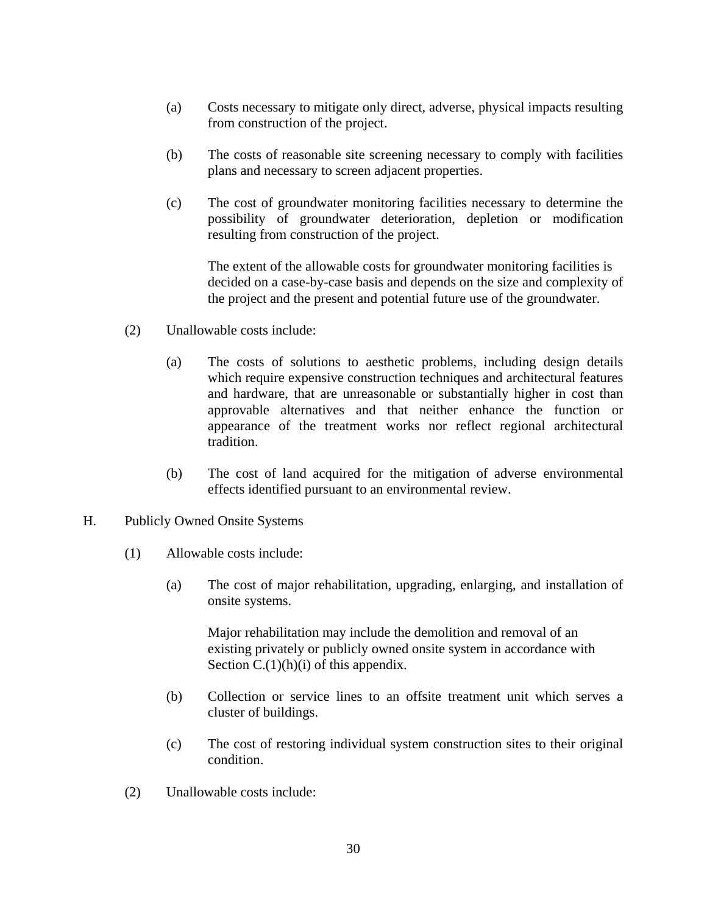- (a) Costs necessary to mitigate only direct, adverse, physical impacts resulting from construction of the project.
- (b) The costs of reasonable site screening necessary to comply with facilities plans and necessary to screen adjacent properties.
- (c) The cost of groundwater monitoring facilities necessary to determine the possibility of groundwater deterioration, depletion or modification resulting from construction of the project.

The extent of the allowable costs for groundwater monitoring facilities is decided on a case-by-case basis and depends on the size and complexity of the project and the present and potential future use of the groundwater.

- (2) Unallowable costs include:
	- (a) The costs of solutions to aesthetic problems, including design details which require expensive construction techniques and architectural features and hardware, that are unreasonable or substantially higher in cost than approvable alternatives and that neither enhance the function or appearance of the treatment works nor reflect regional architectural tradition.
	- (b) The cost of land acquired for the mitigation of adverse environmental effects identified pursuant to an environmental review.
- H. Publicly Owned Onsite Systems
	- (1) Allowable costs include:
		- (a) The cost of major rehabilitation, upgrading, enlarging, and installation of onsite systems.

Major rehabilitation may include the demolition and removal of an existing privately or publicly owned onsite system in accordance with Section  $C.(1)(h)(i)$  of this appendix.

- (b) Collection or service lines to an offsite treatment unit which serves a cluster of buildings.
- (c) The cost of restoring individual system construction sites to their original condition.
- (2) Unallowable costs include: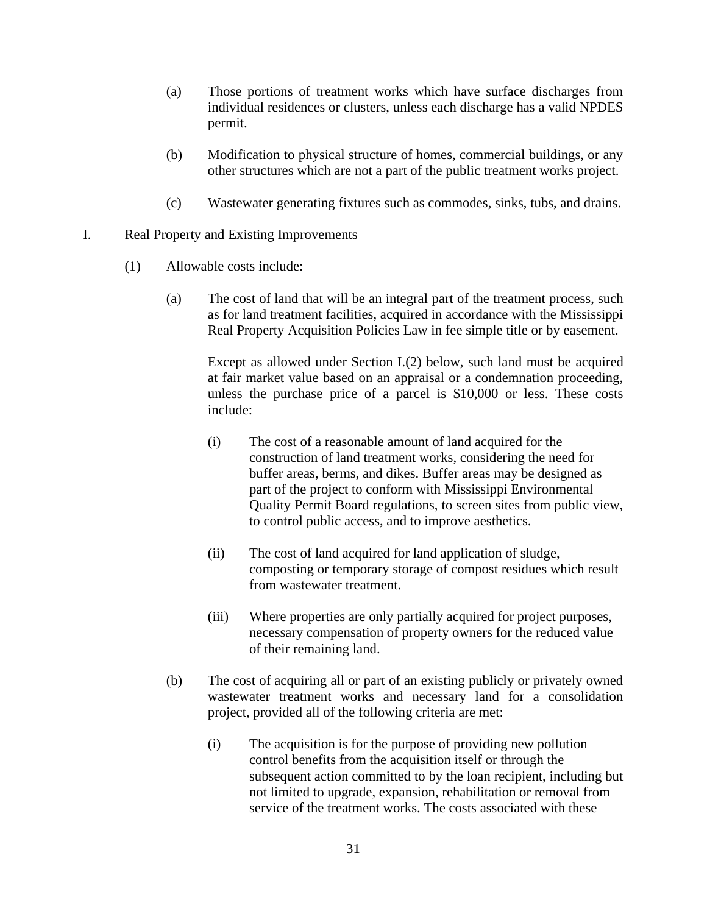- (a) Those portions of treatment works which have surface discharges from individual residences or clusters, unless each discharge has a valid NPDES permit.
- (b) Modification to physical structure of homes, commercial buildings, or any other structures which are not a part of the public treatment works project.
- (c) Wastewater generating fixtures such as commodes, sinks, tubs, and drains.
- I. Real Property and Existing Improvements
	- (1) Allowable costs include:
		- (a) The cost of land that will be an integral part of the treatment process, such as for land treatment facilities, acquired in accordance with the Mississippi Real Property Acquisition Policies Law in fee simple title or by easement.

Except as allowed under Section I.(2) below, such land must be acquired at fair market value based on an appraisal or a condemnation proceeding, unless the purchase price of a parcel is \$10,000 or less. These costs include:

- (i) The cost of a reasonable amount of land acquired for the construction of land treatment works, considering the need for buffer areas, berms, and dikes. Buffer areas may be designed as part of the project to conform with Mississippi Environmental Quality Permit Board regulations, to screen sites from public view, to control public access, and to improve aesthetics.
- (ii) The cost of land acquired for land application of sludge, composting or temporary storage of compost residues which result from wastewater treatment.
- (iii) Where properties are only partially acquired for project purposes, necessary compensation of property owners for the reduced value of their remaining land.
- (b) The cost of acquiring all or part of an existing publicly or privately owned wastewater treatment works and necessary land for a consolidation project, provided all of the following criteria are met:
	- (i) The acquisition is for the purpose of providing new pollution control benefits from the acquisition itself or through the subsequent action committed to by the loan recipient, including but not limited to upgrade, expansion, rehabilitation or removal from service of the treatment works. The costs associated with these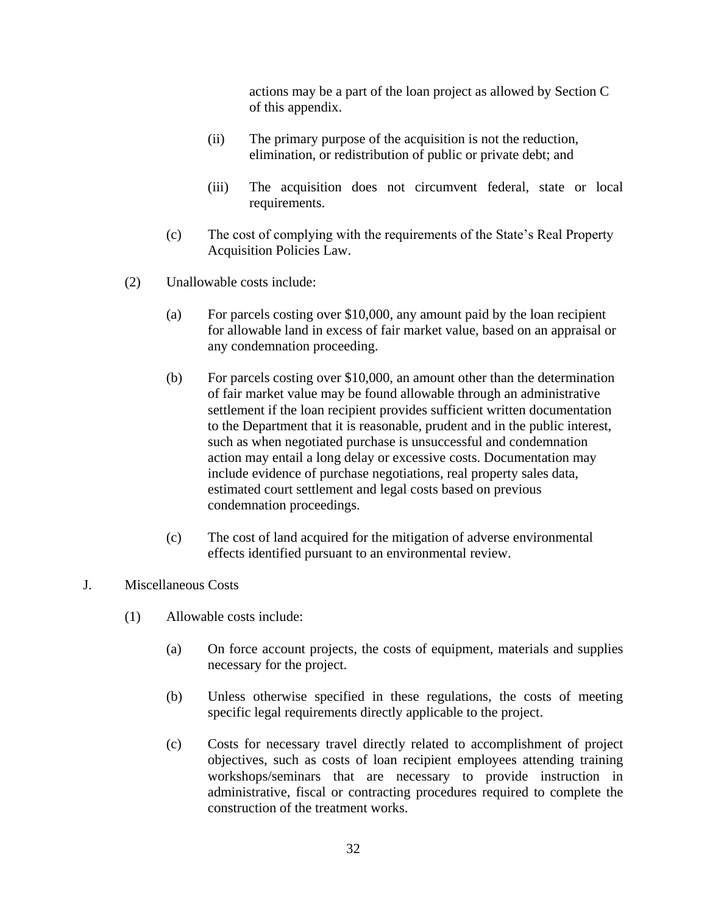actions may be a part of the loan project as allowed by Section C of this appendix.

- (ii) The primary purpose of the acquisition is not the reduction, elimination, or redistribution of public or private debt; and
- (iii) The acquisition does not circumvent federal, state or local requirements.
- (c) The cost of complying with the requirements of the State's Real Property Acquisition Policies Law.
- (2) Unallowable costs include:
	- (a) For parcels costing over \$10,000, any amount paid by the loan recipient for allowable land in excess of fair market value, based on an appraisal or any condemnation proceeding.
	- (b) For parcels costing over \$10,000, an amount other than the determination of fair market value may be found allowable through an administrative settlement if the loan recipient provides sufficient written documentation to the Department that it is reasonable, prudent and in the public interest, such as when negotiated purchase is unsuccessful and condemnation action may entail a long delay or excessive costs. Documentation may include evidence of purchase negotiations, real property sales data, estimated court settlement and legal costs based on previous condemnation proceedings.
	- (c) The cost of land acquired for the mitigation of adverse environmental effects identified pursuant to an environmental review.
- J. Miscellaneous Costs
	- (1) Allowable costs include:
		- (a) On force account projects, the costs of equipment, materials and supplies necessary for the project.
		- (b) Unless otherwise specified in these regulations, the costs of meeting specific legal requirements directly applicable to the project.
		- (c) Costs for necessary travel directly related to accomplishment of project objectives, such as costs of loan recipient employees attending training workshops/seminars that are necessary to provide instruction in administrative, fiscal or contracting procedures required to complete the construction of the treatment works.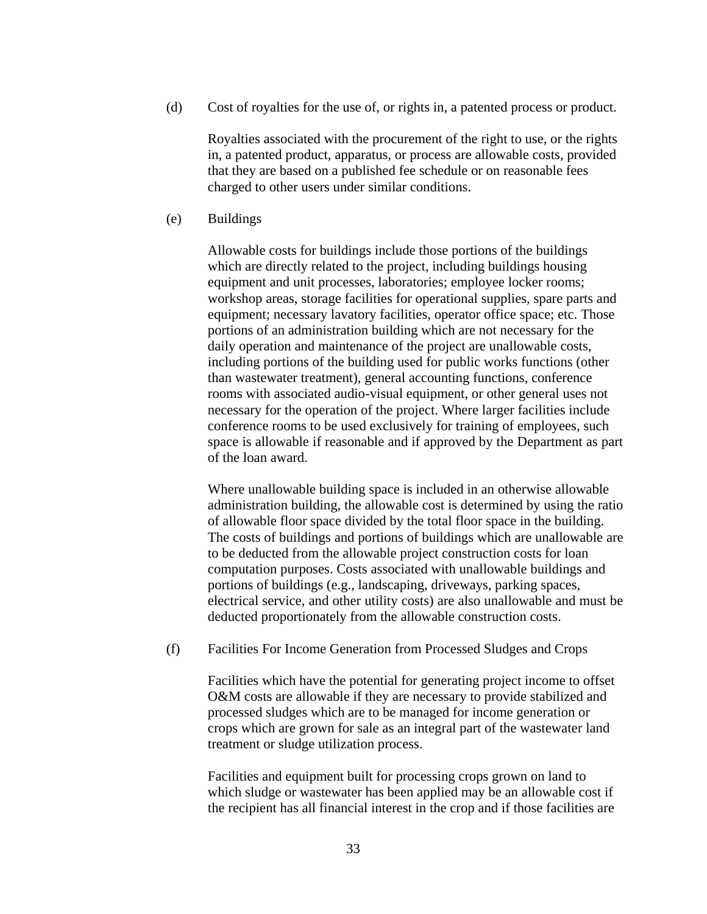(d) Cost of royalties for the use of, or rights in, a patented process or product.

Royalties associated with the procurement of the right to use, or the rights in, a patented product, apparatus, or process are allowable costs, provided that they are based on a published fee schedule or on reasonable fees charged to other users under similar conditions.

(e) Buildings

Allowable costs for buildings include those portions of the buildings which are directly related to the project, including buildings housing equipment and unit processes, laboratories; employee locker rooms; workshop areas, storage facilities for operational supplies, spare parts and equipment; necessary lavatory facilities, operator office space; etc. Those portions of an administration building which are not necessary for the daily operation and maintenance of the project are unallowable costs, including portions of the building used for public works functions (other than wastewater treatment), general accounting functions, conference rooms with associated audio-visual equipment, or other general uses not necessary for the operation of the project. Where larger facilities include conference rooms to be used exclusively for training of employees, such space is allowable if reasonable and if approved by the Department as part of the loan award.

Where unallowable building space is included in an otherwise allowable administration building, the allowable cost is determined by using the ratio of allowable floor space divided by the total floor space in the building. The costs of buildings and portions of buildings which are unallowable are to be deducted from the allowable project construction costs for loan computation purposes. Costs associated with unallowable buildings and portions of buildings (e.g., landscaping, driveways, parking spaces, electrical service, and other utility costs) are also unallowable and must be deducted proportionately from the allowable construction costs.

(f) Facilities For Income Generation from Processed Sludges and Crops

Facilities which have the potential for generating project income to offset O&M costs are allowable if they are necessary to provide stabilized and processed sludges which are to be managed for income generation or crops which are grown for sale as an integral part of the wastewater land treatment or sludge utilization process.

Facilities and equipment built for processing crops grown on land to which sludge or wastewater has been applied may be an allowable cost if the recipient has all financial interest in the crop and if those facilities are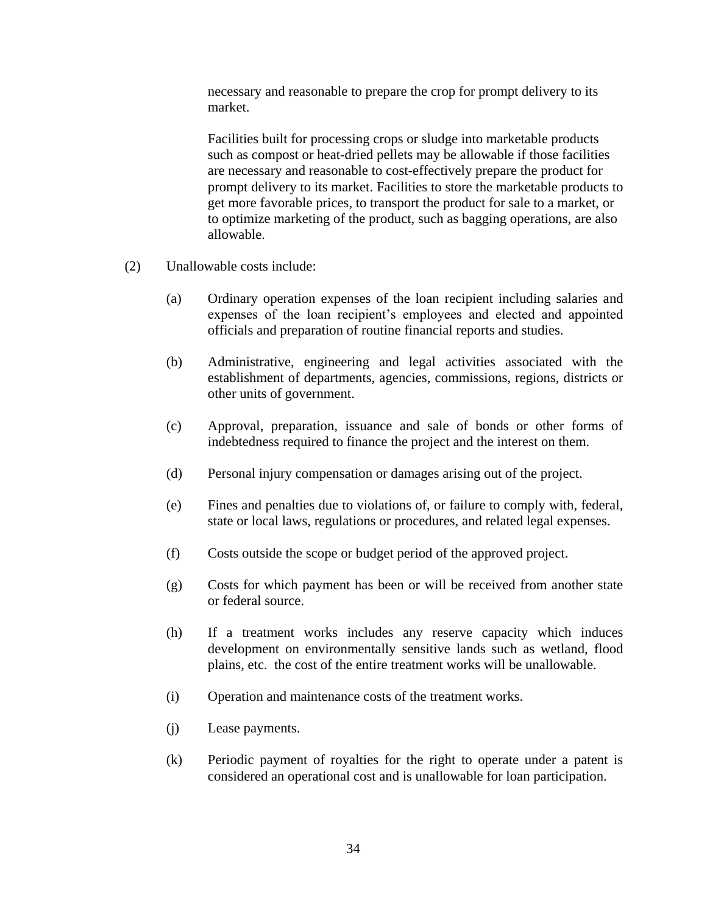necessary and reasonable to prepare the crop for prompt delivery to its market.

Facilities built for processing crops or sludge into marketable products such as compost or heat-dried pellets may be allowable if those facilities are necessary and reasonable to cost-effectively prepare the product for prompt delivery to its market. Facilities to store the marketable products to get more favorable prices, to transport the product for sale to a market, or to optimize marketing of the product, such as bagging operations, are also allowable.

- (2) Unallowable costs include:
	- (a) Ordinary operation expenses of the loan recipient including salaries and expenses of the loan recipient's employees and elected and appointed officials and preparation of routine financial reports and studies.
	- (b) Administrative, engineering and legal activities associated with the establishment of departments, agencies, commissions, regions, districts or other units of government.
	- (c) Approval, preparation, issuance and sale of bonds or other forms of indebtedness required to finance the project and the interest on them.
	- (d) Personal injury compensation or damages arising out of the project.
	- (e) Fines and penalties due to violations of, or failure to comply with, federal, state or local laws, regulations or procedures, and related legal expenses.
	- (f) Costs outside the scope or budget period of the approved project.
	- (g) Costs for which payment has been or will be received from another state or federal source.
	- (h) If a treatment works includes any reserve capacity which induces development on environmentally sensitive lands such as wetland, flood plains, etc. the cost of the entire treatment works will be unallowable.
	- (i) Operation and maintenance costs of the treatment works.
	- (j) Lease payments.
	- (k) Periodic payment of royalties for the right to operate under a patent is considered an operational cost and is unallowable for loan participation.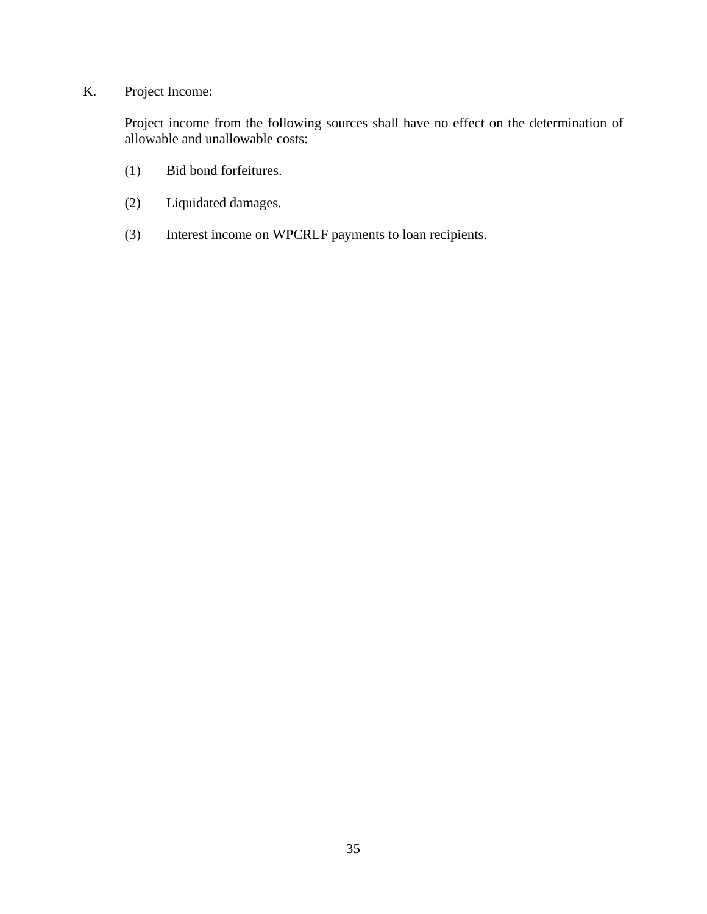# K. Project Income:

Project income from the following sources shall have no effect on the determination of allowable and unallowable costs:

- (1) Bid bond forfeitures.
- (2) Liquidated damages.
- (3) Interest income on WPCRLF payments to loan recipients.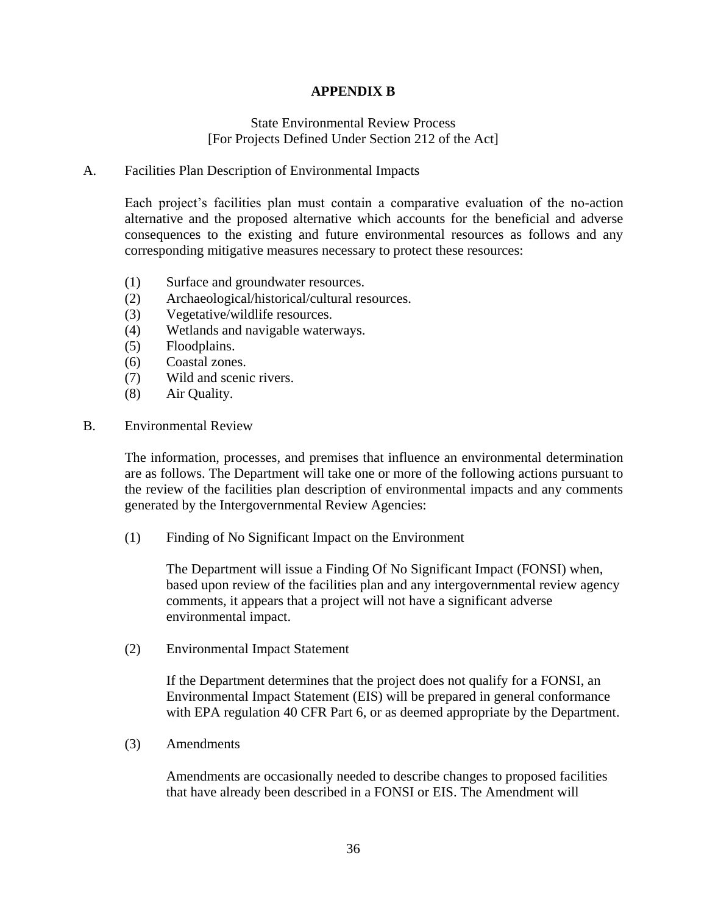## **APPENDIX B**

### State Environmental Review Process [For Projects Defined Under Section 212 of the Act]

#### A. Facilities Plan Description of Environmental Impacts

Each project's facilities plan must contain a comparative evaluation of the no-action alternative and the proposed alternative which accounts for the beneficial and adverse consequences to the existing and future environmental resources as follows and any corresponding mitigative measures necessary to protect these resources:

- (1) Surface and groundwater resources.
- (2) Archaeological/historical/cultural resources.
- (3) Vegetative/wildlife resources.
- (4) Wetlands and navigable waterways.
- (5) Floodplains.
- (6) Coastal zones.
- (7) Wild and scenic rivers.
- (8) Air Quality.
- B. Environmental Review

The information, processes, and premises that influence an environmental determination are as follows. The Department will take one or more of the following actions pursuant to the review of the facilities plan description of environmental impacts and any comments generated by the Intergovernmental Review Agencies:

(1) Finding of No Significant Impact on the Environment

The Department will issue a Finding Of No Significant Impact (FONSI) when, based upon review of the facilities plan and any intergovernmental review agency comments, it appears that a project will not have a significant adverse environmental impact.

(2) Environmental Impact Statement

If the Department determines that the project does not qualify for a FONSI, an Environmental Impact Statement (EIS) will be prepared in general conformance with EPA regulation 40 CFR Part 6, or as deemed appropriate by the Department.

(3) Amendments

Amendments are occasionally needed to describe changes to proposed facilities that have already been described in a FONSI or EIS. The Amendment will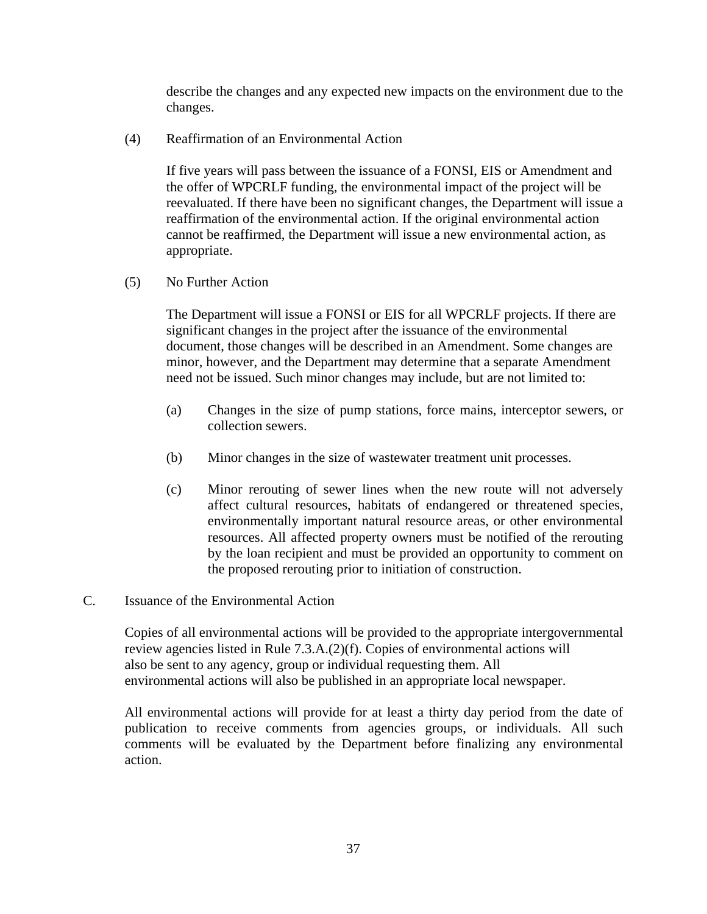describe the changes and any expected new impacts on the environment due to the changes.

(4) Reaffirmation of an Environmental Action

If five years will pass between the issuance of a FONSI, EIS or Amendment and the offer of WPCRLF funding, the environmental impact of the project will be reevaluated. If there have been no significant changes, the Department will issue a reaffirmation of the environmental action. If the original environmental action cannot be reaffirmed, the Department will issue a new environmental action, as appropriate.

(5) No Further Action

The Department will issue a FONSI or EIS for all WPCRLF projects. If there are significant changes in the project after the issuance of the environmental document, those changes will be described in an Amendment. Some changes are minor, however, and the Department may determine that a separate Amendment need not be issued. Such minor changes may include, but are not limited to:

- (a) Changes in the size of pump stations, force mains, interceptor sewers, or collection sewers.
- (b) Minor changes in the size of wastewater treatment unit processes.
- (c) Minor rerouting of sewer lines when the new route will not adversely affect cultural resources, habitats of endangered or threatened species, environmentally important natural resource areas, or other environmental resources. All affected property owners must be notified of the rerouting by the loan recipient and must be provided an opportunity to comment on the proposed rerouting prior to initiation of construction.
- C. Issuance of the Environmental Action

Copies of all environmental actions will be provided to the appropriate intergovernmental review agencies listed in Rule 7.3.A.(2)(f). Copies of environmental actions will also be sent to any agency, group or individual requesting them. All environmental actions will also be published in an appropriate local newspaper.

All environmental actions will provide for at least a thirty day period from the date of publication to receive comments from agencies groups, or individuals. All such comments will be evaluated by the Department before finalizing any environmental action.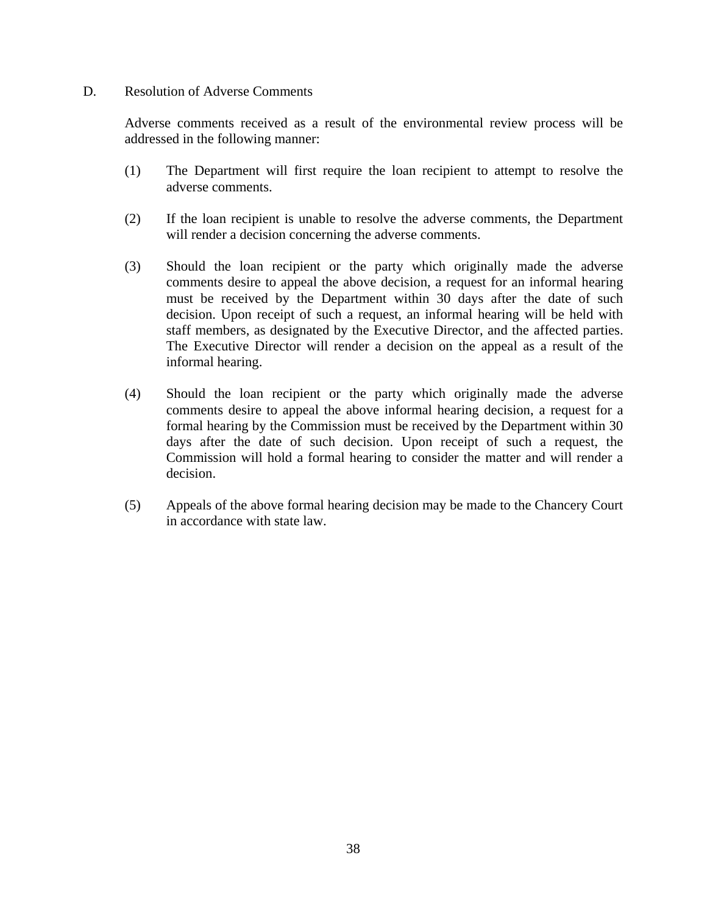#### D. Resolution of Adverse Comments

Adverse comments received as a result of the environmental review process will be addressed in the following manner:

- (1) The Department will first require the loan recipient to attempt to resolve the adverse comments.
- (2) If the loan recipient is unable to resolve the adverse comments, the Department will render a decision concerning the adverse comments.
- (3) Should the loan recipient or the party which originally made the adverse comments desire to appeal the above decision, a request for an informal hearing must be received by the Department within 30 days after the date of such decision. Upon receipt of such a request, an informal hearing will be held with staff members, as designated by the Executive Director, and the affected parties. The Executive Director will render a decision on the appeal as a result of the informal hearing.
- (4) Should the loan recipient or the party which originally made the adverse comments desire to appeal the above informal hearing decision, a request for a formal hearing by the Commission must be received by the Department within 30 days after the date of such decision. Upon receipt of such a request, the Commission will hold a formal hearing to consider the matter and will render a decision.
- (5) Appeals of the above formal hearing decision may be made to the Chancery Court in accordance with state law.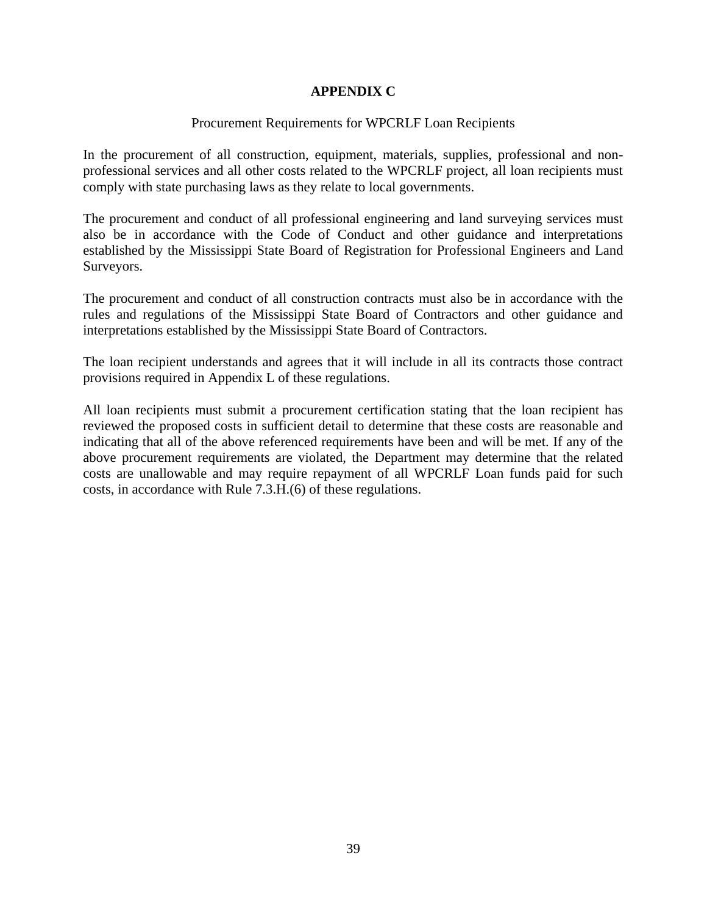## **APPENDIX C**

#### Procurement Requirements for WPCRLF Loan Recipients

In the procurement of all construction, equipment, materials, supplies, professional and nonprofessional services and all other costs related to the WPCRLF project, all loan recipients must comply with state purchasing laws as they relate to local governments.

The procurement and conduct of all professional engineering and land surveying services must also be in accordance with the Code of Conduct and other guidance and interpretations established by the Mississippi State Board of Registration for Professional Engineers and Land Surveyors.

The procurement and conduct of all construction contracts must also be in accordance with the rules and regulations of the Mississippi State Board of Contractors and other guidance and interpretations established by the Mississippi State Board of Contractors.

The loan recipient understands and agrees that it will include in all its contracts those contract provisions required in Appendix L of these regulations.

All loan recipients must submit a procurement certification stating that the loan recipient has reviewed the proposed costs in sufficient detail to determine that these costs are reasonable and indicating that all of the above referenced requirements have been and will be met. If any of the above procurement requirements are violated, the Department may determine that the related costs are unallowable and may require repayment of all WPCRLF Loan funds paid for such costs, in accordance with Rule 7.3.H.(6) of these regulations.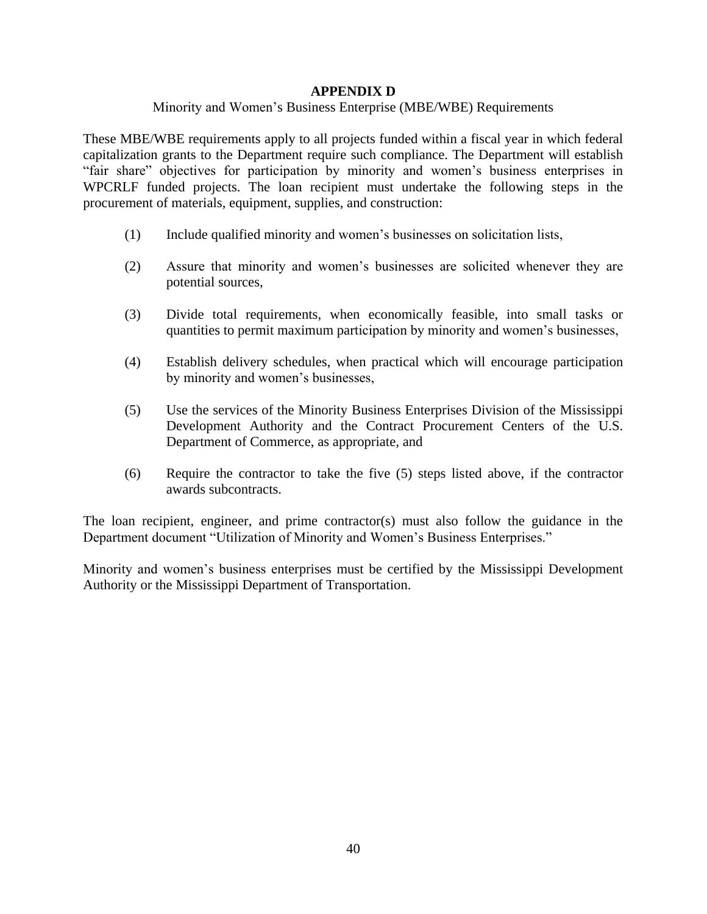## **APPENDIX D**

#### Minority and Women's Business Enterprise (MBE/WBE) Requirements

These MBE/WBE requirements apply to all projects funded within a fiscal year in which federal capitalization grants to the Department require such compliance. The Department will establish "fair share" objectives for participation by minority and women's business enterprises in WPCRLF funded projects. The loan recipient must undertake the following steps in the procurement of materials, equipment, supplies, and construction:

- (1) Include qualified minority and women's businesses on solicitation lists,
- (2) Assure that minority and women's businesses are solicited whenever they are potential sources,
- (3) Divide total requirements, when economically feasible, into small tasks or quantities to permit maximum participation by minority and women's businesses,
- (4) Establish delivery schedules, when practical which will encourage participation by minority and women's businesses,
- (5) Use the services of the Minority Business Enterprises Division of the Mississippi Development Authority and the Contract Procurement Centers of the U.S. Department of Commerce, as appropriate, and
- (6) Require the contractor to take the five (5) steps listed above, if the contractor awards subcontracts.

The loan recipient, engineer, and prime contractor(s) must also follow the guidance in the Department document "Utilization of Minority and Women's Business Enterprises."

Minority and women's business enterprises must be certified by the Mississippi Development Authority or the Mississippi Department of Transportation.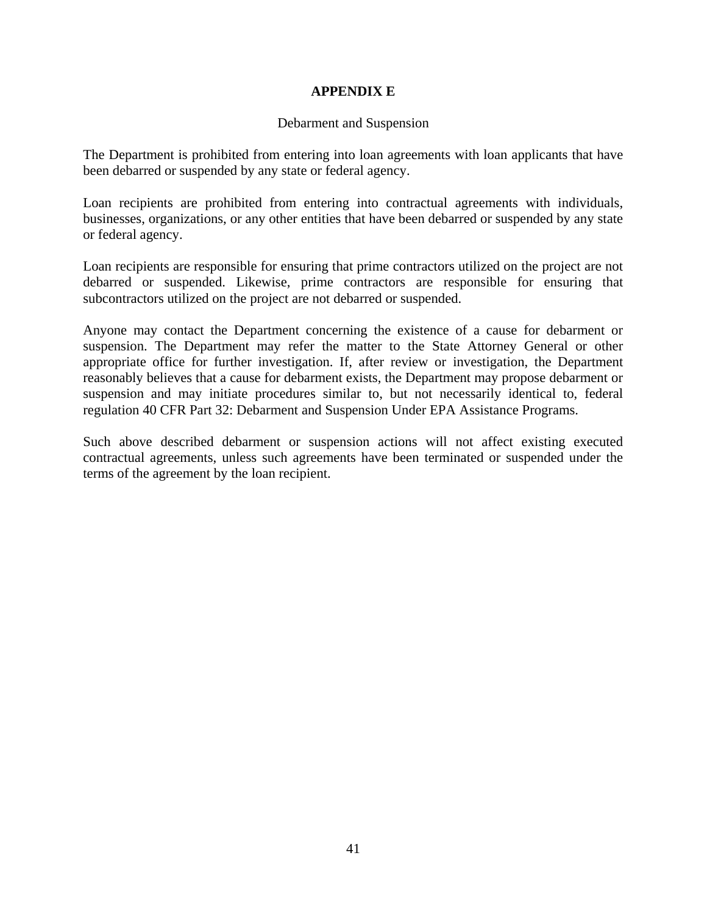## **APPENDIX E**

#### Debarment and Suspension

The Department is prohibited from entering into loan agreements with loan applicants that have been debarred or suspended by any state or federal agency.

Loan recipients are prohibited from entering into contractual agreements with individuals, businesses, organizations, or any other entities that have been debarred or suspended by any state or federal agency.

Loan recipients are responsible for ensuring that prime contractors utilized on the project are not debarred or suspended. Likewise, prime contractors are responsible for ensuring that subcontractors utilized on the project are not debarred or suspended.

Anyone may contact the Department concerning the existence of a cause for debarment or suspension. The Department may refer the matter to the State Attorney General or other appropriate office for further investigation. If, after review or investigation, the Department reasonably believes that a cause for debarment exists, the Department may propose debarment or suspension and may initiate procedures similar to, but not necessarily identical to, federal regulation 40 CFR Part 32: Debarment and Suspension Under EPA Assistance Programs.

Such above described debarment or suspension actions will not affect existing executed contractual agreements, unless such agreements have been terminated or suspended under the terms of the agreement by the loan recipient.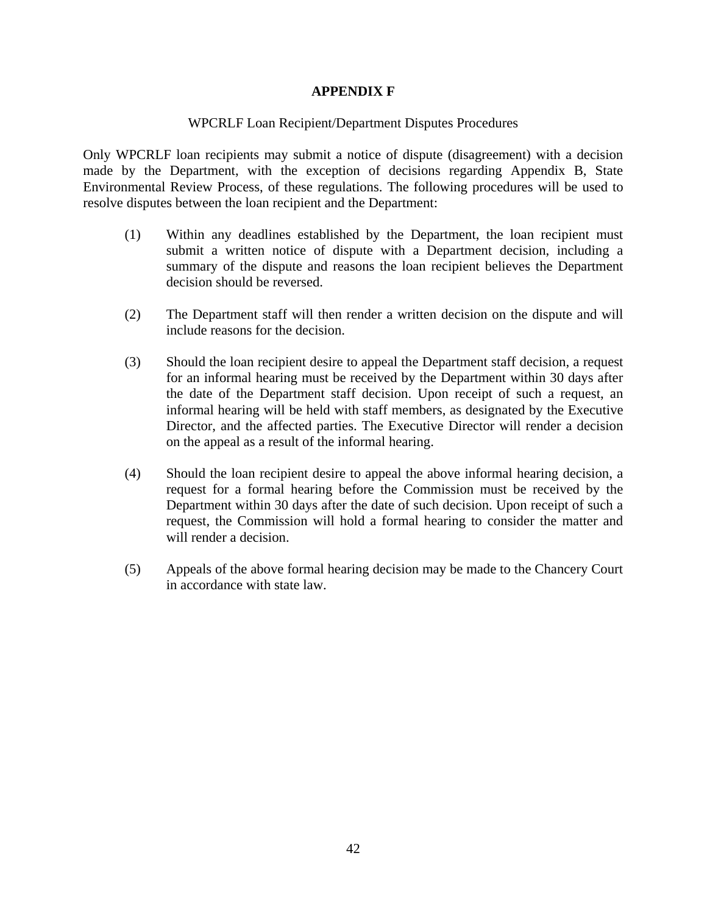## **APPENDIX F**

## WPCRLF Loan Recipient/Department Disputes Procedures

Only WPCRLF loan recipients may submit a notice of dispute (disagreement) with a decision made by the Department, with the exception of decisions regarding Appendix B, State Environmental Review Process, of these regulations. The following procedures will be used to resolve disputes between the loan recipient and the Department:

- (1) Within any deadlines established by the Department, the loan recipient must submit a written notice of dispute with a Department decision, including a summary of the dispute and reasons the loan recipient believes the Department decision should be reversed.
- (2) The Department staff will then render a written decision on the dispute and will include reasons for the decision.
- (3) Should the loan recipient desire to appeal the Department staff decision, a request for an informal hearing must be received by the Department within 30 days after the date of the Department staff decision. Upon receipt of such a request, an informal hearing will be held with staff members, as designated by the Executive Director, and the affected parties. The Executive Director will render a decision on the appeal as a result of the informal hearing.
- (4) Should the loan recipient desire to appeal the above informal hearing decision, a request for a formal hearing before the Commission must be received by the Department within 30 days after the date of such decision. Upon receipt of such a request, the Commission will hold a formal hearing to consider the matter and will render a decision.
- (5) Appeals of the above formal hearing decision may be made to the Chancery Court in accordance with state law.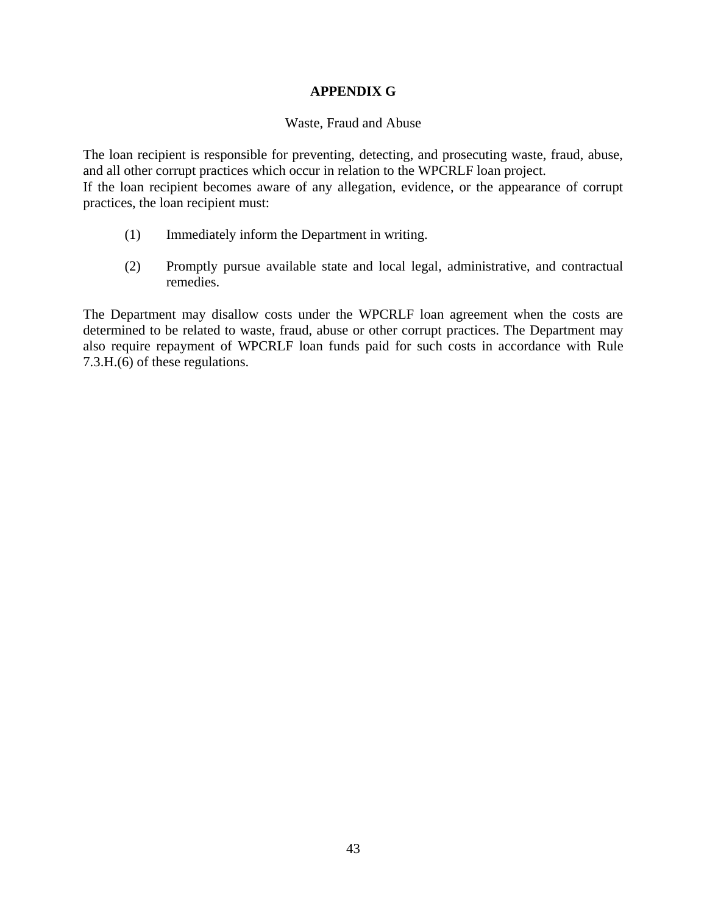# **APPENDIX G**

#### Waste, Fraud and Abuse

The loan recipient is responsible for preventing, detecting, and prosecuting waste, fraud, abuse, and all other corrupt practices which occur in relation to the WPCRLF loan project. If the loan recipient becomes aware of any allegation, evidence, or the appearance of corrupt practices, the loan recipient must:

- (1) Immediately inform the Department in writing.
- (2) Promptly pursue available state and local legal, administrative, and contractual remedies.

The Department may disallow costs under the WPCRLF loan agreement when the costs are determined to be related to waste, fraud, abuse or other corrupt practices. The Department may also require repayment of WPCRLF loan funds paid for such costs in accordance with Rule 7.3.H.(6) of these regulations.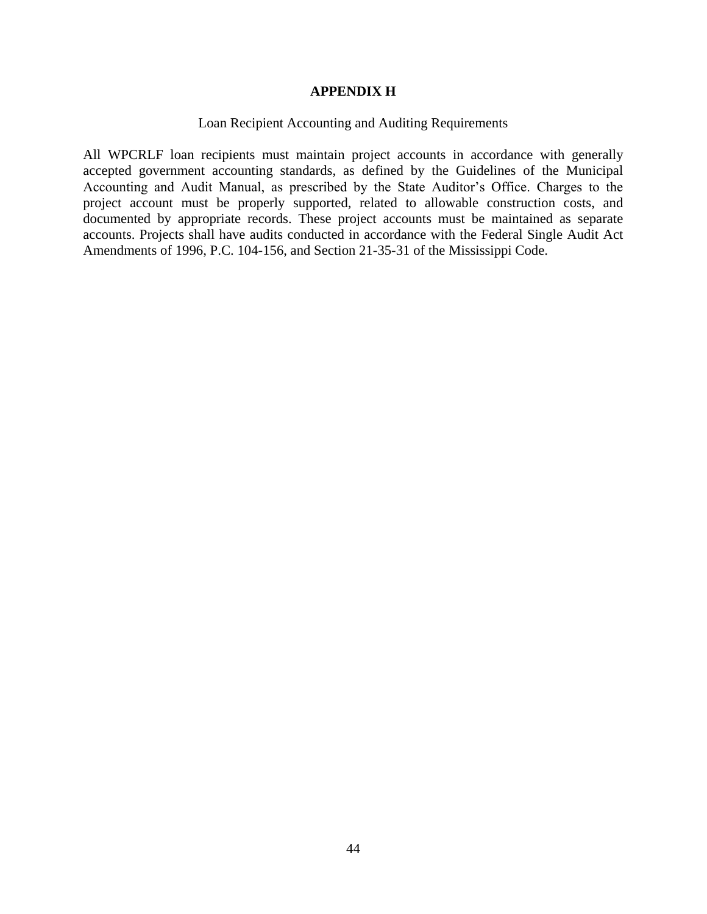#### **APPENDIX H**

#### Loan Recipient Accounting and Auditing Requirements

All WPCRLF loan recipients must maintain project accounts in accordance with generally accepted government accounting standards, as defined by the Guidelines of the Municipal Accounting and Audit Manual, as prescribed by the State Auditor's Office. Charges to the project account must be properly supported, related to allowable construction costs, and documented by appropriate records. These project accounts must be maintained as separate accounts. Projects shall have audits conducted in accordance with the Federal Single Audit Act Amendments of 1996, P.C. 104-156, and Section 21-35-31 of the Mississippi Code.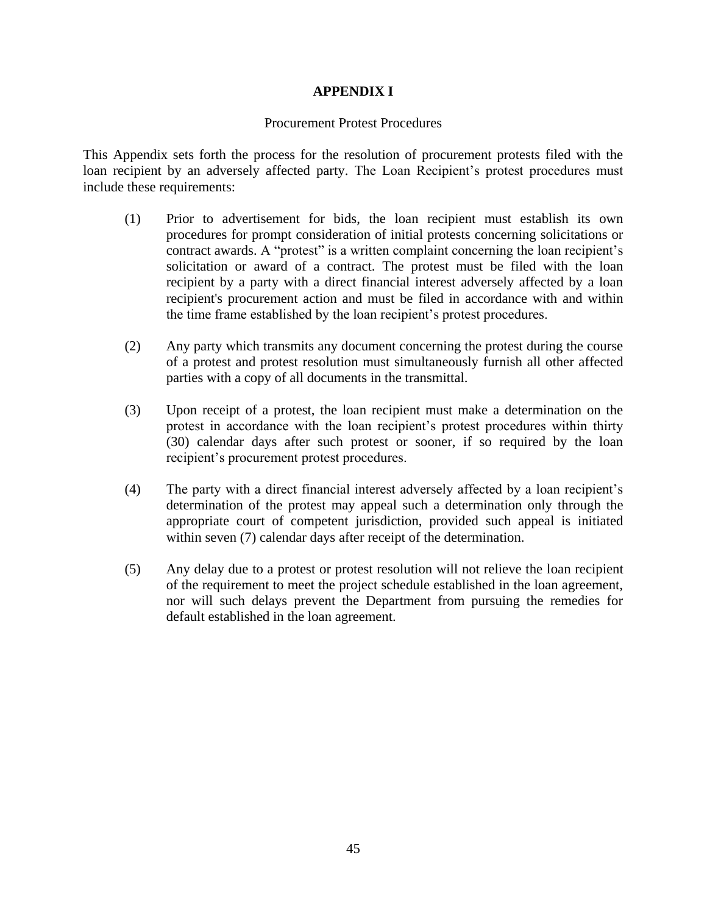## **APPENDIX I**

#### Procurement Protest Procedures

This Appendix sets forth the process for the resolution of procurement protests filed with the loan recipient by an adversely affected party. The Loan Recipient's protest procedures must include these requirements:

- (1) Prior to advertisement for bids, the loan recipient must establish its own procedures for prompt consideration of initial protests concerning solicitations or contract awards. A "protest" is a written complaint concerning the loan recipient's solicitation or award of a contract. The protest must be filed with the loan recipient by a party with a direct financial interest adversely affected by a loan recipient's procurement action and must be filed in accordance with and within the time frame established by the loan recipient's protest procedures.
- (2) Any party which transmits any document concerning the protest during the course of a protest and protest resolution must simultaneously furnish all other affected parties with a copy of all documents in the transmittal.
- (3) Upon receipt of a protest, the loan recipient must make a determination on the protest in accordance with the loan recipient's protest procedures within thirty (30) calendar days after such protest or sooner, if so required by the loan recipient's procurement protest procedures.
- (4) The party with a direct financial interest adversely affected by a loan recipient's determination of the protest may appeal such a determination only through the appropriate court of competent jurisdiction, provided such appeal is initiated within seven (7) calendar days after receipt of the determination.
- (5) Any delay due to a protest or protest resolution will not relieve the loan recipient of the requirement to meet the project schedule established in the loan agreement, nor will such delays prevent the Department from pursuing the remedies for default established in the loan agreement.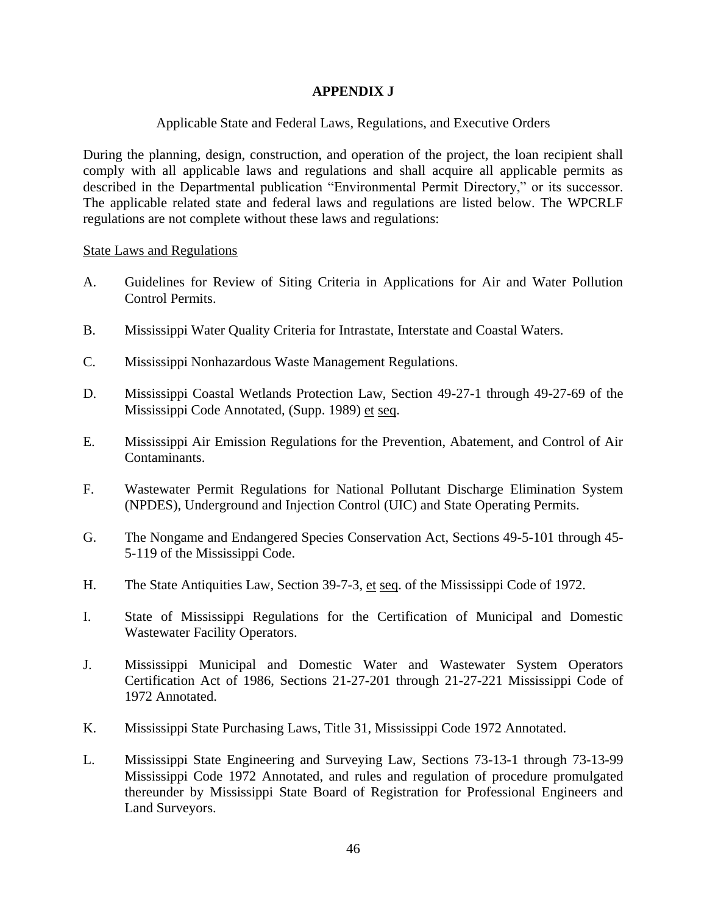## **APPENDIX J**

## Applicable State and Federal Laws, Regulations, and Executive Orders

During the planning, design, construction, and operation of the project, the loan recipient shall comply with all applicable laws and regulations and shall acquire all applicable permits as described in the Departmental publication "Environmental Permit Directory," or its successor. The applicable related state and federal laws and regulations are listed below. The WPCRLF regulations are not complete without these laws and regulations:

State Laws and Regulations

- A. Guidelines for Review of Siting Criteria in Applications for Air and Water Pollution Control Permits.
- B. Mississippi Water Quality Criteria for Intrastate, Interstate and Coastal Waters.
- C. Mississippi Nonhazardous Waste Management Regulations.
- D. Mississippi Coastal Wetlands Protection Law, Section 49-27-1 through 49-27-69 of the Mississippi Code Annotated, (Supp. 1989) et seq.
- E. Mississippi Air Emission Regulations for the Prevention, Abatement, and Control of Air Contaminants.
- F. Wastewater Permit Regulations for National Pollutant Discharge Elimination System (NPDES), Underground and Injection Control (UIC) and State Operating Permits.
- G. The Nongame and Endangered Species Conservation Act, Sections 49-5-101 through 45- 5-119 of the Mississippi Code.
- H. The State Antiquities Law, Section 39-7-3, et seq. of the Mississippi Code of 1972.
- I. State of Mississippi Regulations for the Certification of Municipal and Domestic Wastewater Facility Operators.
- J. Mississippi Municipal and Domestic Water and Wastewater System Operators Certification Act of 1986, Sections 21-27-201 through 21-27-221 Mississippi Code of 1972 Annotated.
- K. Mississippi State Purchasing Laws, Title 31, Mississippi Code 1972 Annotated.
- L. Mississippi State Engineering and Surveying Law, Sections 73-13-1 through 73-13-99 Mississippi Code 1972 Annotated, and rules and regulation of procedure promulgated thereunder by Mississippi State Board of Registration for Professional Engineers and Land Surveyors.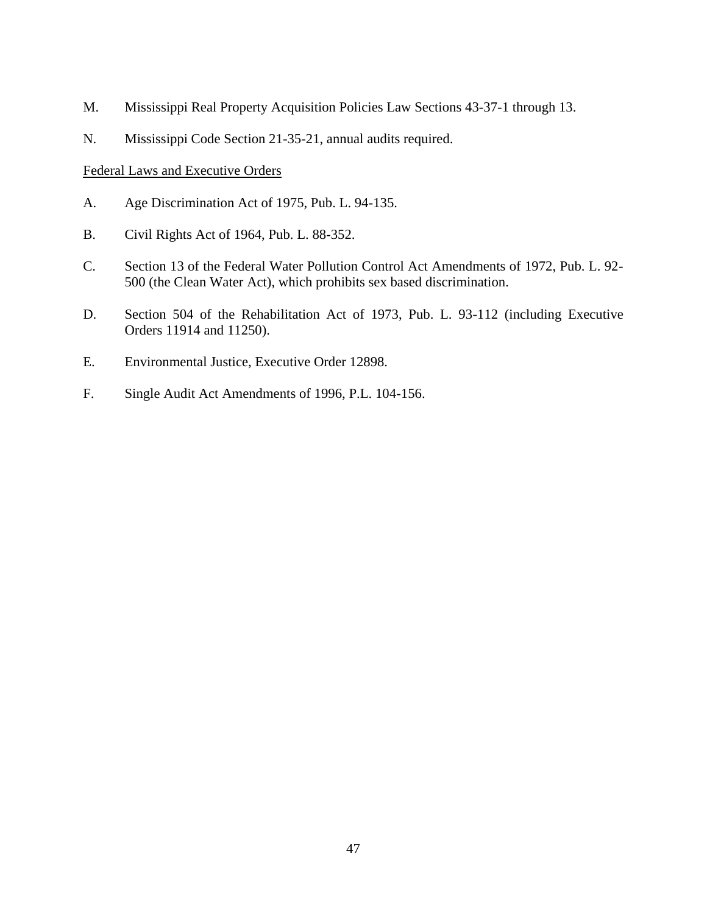- M. Mississippi Real Property Acquisition Policies Law Sections 43-37-1 through 13.
- N. Mississippi Code Section 21-35-21, annual audits required.

#### Federal Laws and Executive Orders

- A. Age Discrimination Act of 1975, Pub. L. 94-135.
- B. Civil Rights Act of 1964, Pub. L. 88-352.
- C. Section 13 of the Federal Water Pollution Control Act Amendments of 1972, Pub. L. 92- 500 (the Clean Water Act), which prohibits sex based discrimination.
- D. Section 504 of the Rehabilitation Act of 1973, Pub. L. 93-112 (including Executive Orders 11914 and 11250).
- E. Environmental Justice, Executive Order 12898.
- F. Single Audit Act Amendments of 1996, P.L. 104-156.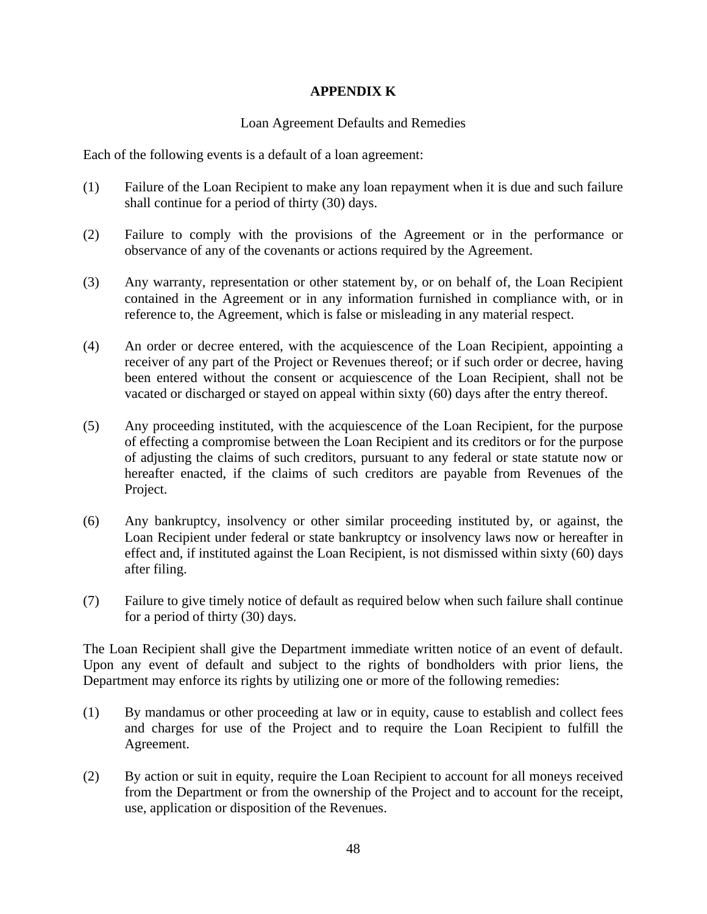## **APPENDIX K**

## Loan Agreement Defaults and Remedies

Each of the following events is a default of a loan agreement:

- (1) Failure of the Loan Recipient to make any loan repayment when it is due and such failure shall continue for a period of thirty (30) days.
- (2) Failure to comply with the provisions of the Agreement or in the performance or observance of any of the covenants or actions required by the Agreement.
- (3) Any warranty, representation or other statement by, or on behalf of, the Loan Recipient contained in the Agreement or in any information furnished in compliance with, or in reference to, the Agreement, which is false or misleading in any material respect.
- (4) An order or decree entered, with the acquiescence of the Loan Recipient, appointing a receiver of any part of the Project or Revenues thereof; or if such order or decree, having been entered without the consent or acquiescence of the Loan Recipient, shall not be vacated or discharged or stayed on appeal within sixty (60) days after the entry thereof.
- (5) Any proceeding instituted, with the acquiescence of the Loan Recipient, for the purpose of effecting a compromise between the Loan Recipient and its creditors or for the purpose of adjusting the claims of such creditors, pursuant to any federal or state statute now or hereafter enacted, if the claims of such creditors are payable from Revenues of the Project.
- (6) Any bankruptcy, insolvency or other similar proceeding instituted by, or against, the Loan Recipient under federal or state bankruptcy or insolvency laws now or hereafter in effect and, if instituted against the Loan Recipient, is not dismissed within sixty (60) days after filing.
- (7) Failure to give timely notice of default as required below when such failure shall continue for a period of thirty (30) days.

The Loan Recipient shall give the Department immediate written notice of an event of default. Upon any event of default and subject to the rights of bondholders with prior liens, the Department may enforce its rights by utilizing one or more of the following remedies:

- (1) By mandamus or other proceeding at law or in equity, cause to establish and collect fees and charges for use of the Project and to require the Loan Recipient to fulfill the Agreement.
- (2) By action or suit in equity, require the Loan Recipient to account for all moneys received from the Department or from the ownership of the Project and to account for the receipt, use, application or disposition of the Revenues.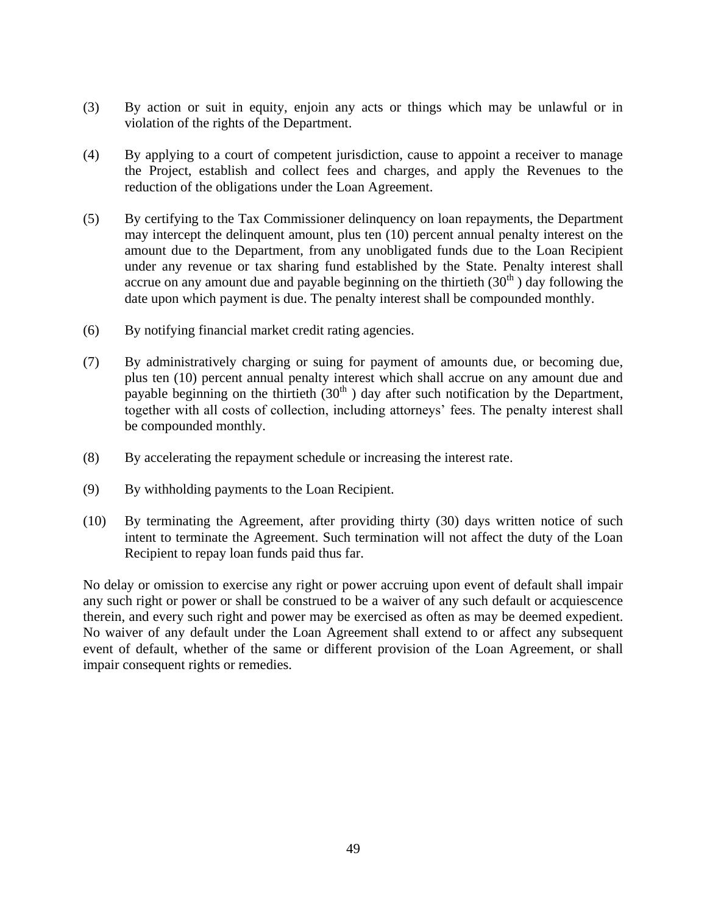- (3) By action or suit in equity, enjoin any acts or things which may be unlawful or in violation of the rights of the Department.
- (4) By applying to a court of competent jurisdiction, cause to appoint a receiver to manage the Project, establish and collect fees and charges, and apply the Revenues to the reduction of the obligations under the Loan Agreement.
- (5) By certifying to the Tax Commissioner delinquency on loan repayments, the Department may intercept the delinquent amount, plus ten (10) percent annual penalty interest on the amount due to the Department, from any unobligated funds due to the Loan Recipient under any revenue or tax sharing fund established by the State. Penalty interest shall accrue on any amount due and payable beginning on the thirtieth  $(30<sup>th</sup>)$  day following the date upon which payment is due. The penalty interest shall be compounded monthly.
- (6) By notifying financial market credit rating agencies.
- (7) By administratively charging or suing for payment of amounts due, or becoming due, plus ten (10) percent annual penalty interest which shall accrue on any amount due and payable beginning on the thirtieth  $(30<sup>th</sup>)$  day after such notification by the Department, together with all costs of collection, including attorneys' fees. The penalty interest shall be compounded monthly.
- (8) By accelerating the repayment schedule or increasing the interest rate.
- (9) By withholding payments to the Loan Recipient.
- (10) By terminating the Agreement, after providing thirty (30) days written notice of such intent to terminate the Agreement. Such termination will not affect the duty of the Loan Recipient to repay loan funds paid thus far.

No delay or omission to exercise any right or power accruing upon event of default shall impair any such right or power or shall be construed to be a waiver of any such default or acquiescence therein, and every such right and power may be exercised as often as may be deemed expedient. No waiver of any default under the Loan Agreement shall extend to or affect any subsequent event of default, whether of the same or different provision of the Loan Agreement, or shall impair consequent rights or remedies.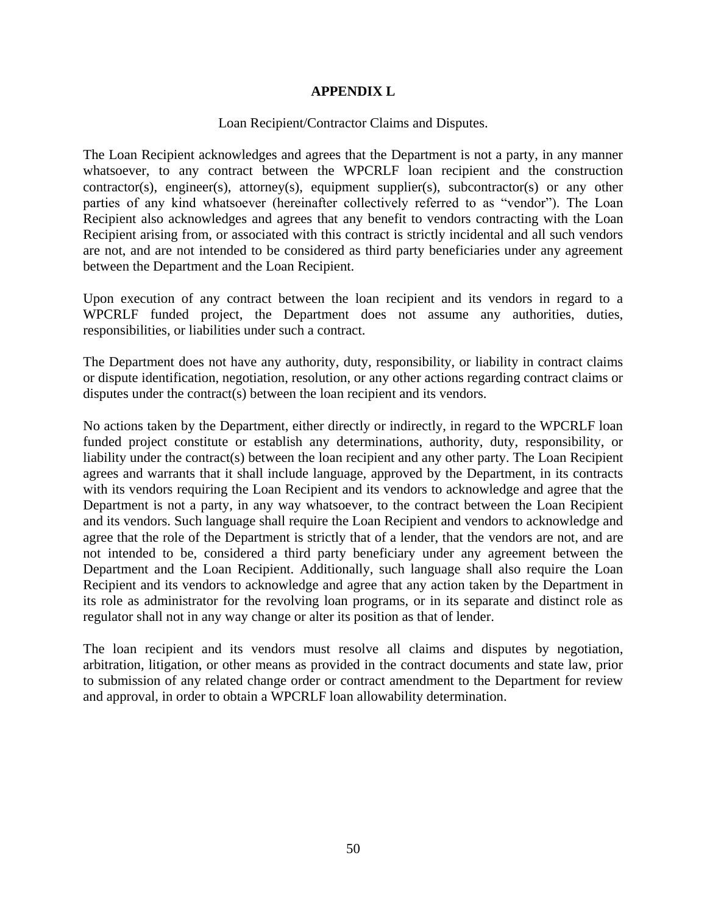## **APPENDIX L**

#### Loan Recipient/Contractor Claims and Disputes.

The Loan Recipient acknowledges and agrees that the Department is not a party, in any manner whatsoever, to any contract between the WPCRLF loan recipient and the construction contractor(s), engineer(s), attorney(s), equipment supplier(s), subcontractor(s) or any other parties of any kind whatsoever (hereinafter collectively referred to as "vendor"). The Loan Recipient also acknowledges and agrees that any benefit to vendors contracting with the Loan Recipient arising from, or associated with this contract is strictly incidental and all such vendors are not, and are not intended to be considered as third party beneficiaries under any agreement between the Department and the Loan Recipient.

Upon execution of any contract between the loan recipient and its vendors in regard to a WPCRLF funded project, the Department does not assume any authorities, duties, responsibilities, or liabilities under such a contract.

The Department does not have any authority, duty, responsibility, or liability in contract claims or dispute identification, negotiation, resolution, or any other actions regarding contract claims or disputes under the contract(s) between the loan recipient and its vendors.

No actions taken by the Department, either directly or indirectly, in regard to the WPCRLF loan funded project constitute or establish any determinations, authority, duty, responsibility, or liability under the contract(s) between the loan recipient and any other party. The Loan Recipient agrees and warrants that it shall include language, approved by the Department, in its contracts with its vendors requiring the Loan Recipient and its vendors to acknowledge and agree that the Department is not a party, in any way whatsoever, to the contract between the Loan Recipient and its vendors. Such language shall require the Loan Recipient and vendors to acknowledge and agree that the role of the Department is strictly that of a lender, that the vendors are not, and are not intended to be, considered a third party beneficiary under any agreement between the Department and the Loan Recipient. Additionally, such language shall also require the Loan Recipient and its vendors to acknowledge and agree that any action taken by the Department in its role as administrator for the revolving loan programs, or in its separate and distinct role as regulator shall not in any way change or alter its position as that of lender.

The loan recipient and its vendors must resolve all claims and disputes by negotiation, arbitration, litigation, or other means as provided in the contract documents and state law, prior to submission of any related change order or contract amendment to the Department for review and approval, in order to obtain a WPCRLF loan allowability determination.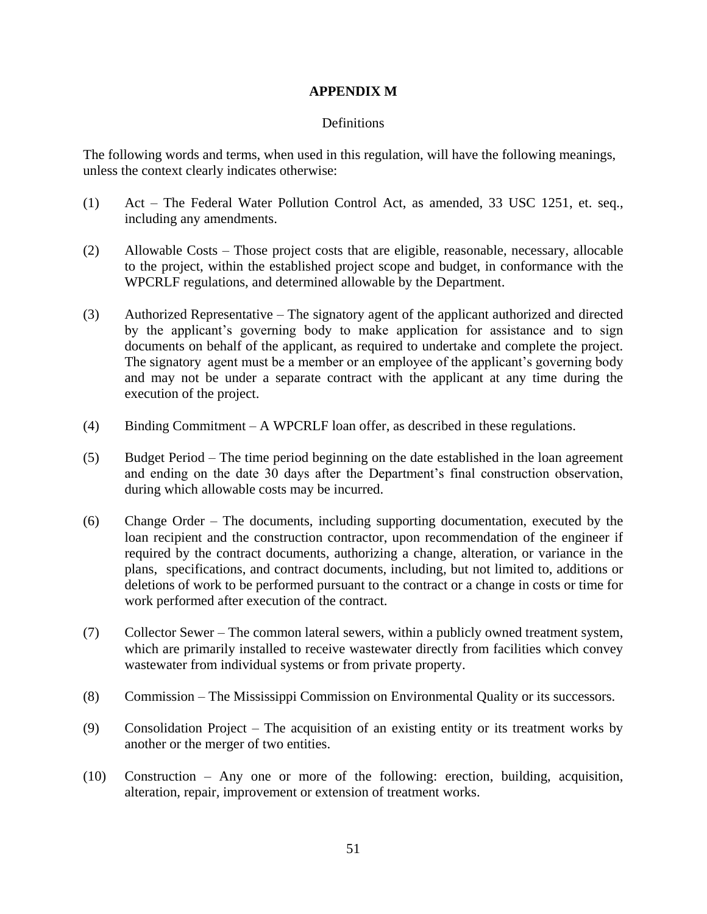### **APPENDIX M**

## **Definitions**

The following words and terms, when used in this regulation, will have the following meanings, unless the context clearly indicates otherwise:

- (1) Act The Federal Water Pollution Control Act, as amended, 33 USC 1251, et. seq., including any amendments.
- (2) Allowable Costs Those project costs that are eligible, reasonable, necessary, allocable to the project, within the established project scope and budget, in conformance with the WPCRLF regulations, and determined allowable by the Department.
- (3) Authorized Representative The signatory agent of the applicant authorized and directed by the applicant's governing body to make application for assistance and to sign documents on behalf of the applicant, as required to undertake and complete the project. The signatory agent must be a member or an employee of the applicant's governing body and may not be under a separate contract with the applicant at any time during the execution of the project.
- (4) Binding Commitment A WPCRLF loan offer, as described in these regulations.
- (5) Budget Period The time period beginning on the date established in the loan agreement and ending on the date 30 days after the Department's final construction observation, during which allowable costs may be incurred.
- (6) Change Order The documents, including supporting documentation, executed by the loan recipient and the construction contractor, upon recommendation of the engineer if required by the contract documents, authorizing a change, alteration, or variance in the plans, specifications, and contract documents, including, but not limited to, additions or deletions of work to be performed pursuant to the contract or a change in costs or time for work performed after execution of the contract.
- (7) Collector Sewer The common lateral sewers, within a publicly owned treatment system, which are primarily installed to receive wastewater directly from facilities which convey wastewater from individual systems or from private property.
- (8) Commission The Mississippi Commission on Environmental Quality or its successors.
- (9) Consolidation Project The acquisition of an existing entity or its treatment works by another or the merger of two entities.
- (10) Construction Any one or more of the following: erection, building, acquisition, alteration, repair, improvement or extension of treatment works.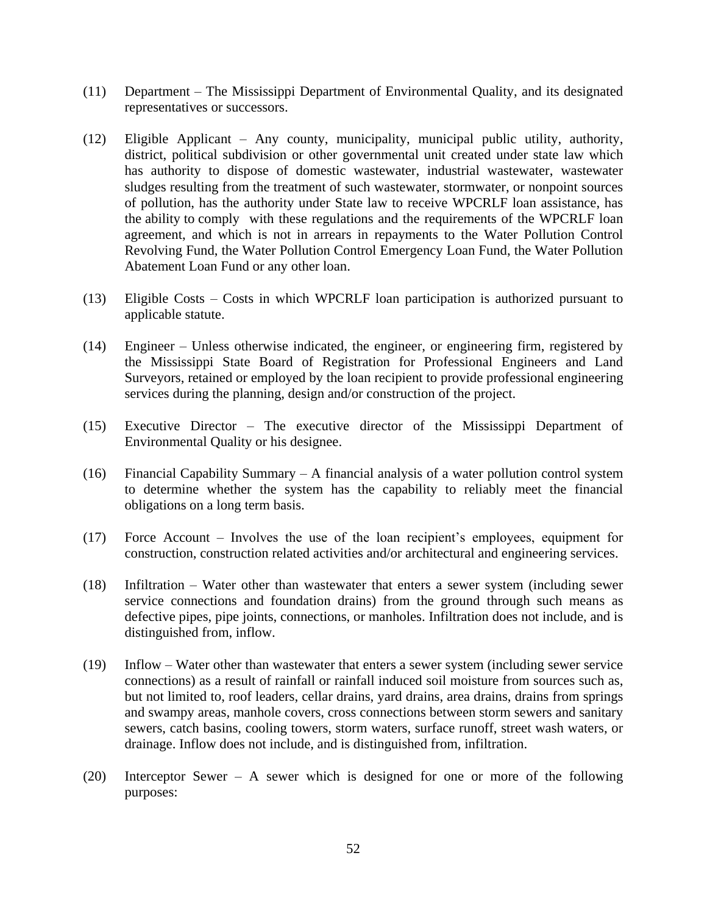- (11) Department The Mississippi Department of Environmental Quality, and its designated representatives or successors.
- (12) Eligible Applicant Any county, municipality, municipal public utility, authority, district, political subdivision or other governmental unit created under state law which has authority to dispose of domestic wastewater, industrial wastewater, wastewater sludges resulting from the treatment of such wastewater, stormwater, or nonpoint sources of pollution, has the authority under State law to receive WPCRLF loan assistance, has the ability to comply with these regulations and the requirements of the WPCRLF loan agreement, and which is not in arrears in repayments to the Water Pollution Control Revolving Fund, the Water Pollution Control Emergency Loan Fund, the Water Pollution Abatement Loan Fund or any other loan.
- (13) Eligible Costs Costs in which WPCRLF loan participation is authorized pursuant to applicable statute.
- (14) Engineer Unless otherwise indicated, the engineer, or engineering firm, registered by the Mississippi State Board of Registration for Professional Engineers and Land Surveyors, retained or employed by the loan recipient to provide professional engineering services during the planning, design and/or construction of the project.
- (15) Executive Director The executive director of the Mississippi Department of Environmental Quality or his designee.
- (16) Financial Capability Summary A financial analysis of a water pollution control system to determine whether the system has the capability to reliably meet the financial obligations on a long term basis.
- (17) Force Account Involves the use of the loan recipient's employees, equipment for construction, construction related activities and/or architectural and engineering services.
- (18) Infiltration Water other than wastewater that enters a sewer system (including sewer service connections and foundation drains) from the ground through such means as defective pipes, pipe joints, connections, or manholes. Infiltration does not include, and is distinguished from, inflow.
- (19) Inflow Water other than wastewater that enters a sewer system (including sewer service connections) as a result of rainfall or rainfall induced soil moisture from sources such as, but not limited to, roof leaders, cellar drains, yard drains, area drains, drains from springs and swampy areas, manhole covers, cross connections between storm sewers and sanitary sewers, catch basins, cooling towers, storm waters, surface runoff, street wash waters, or drainage. Inflow does not include, and is distinguished from, infiltration.
- (20) Interceptor Sewer A sewer which is designed for one or more of the following purposes: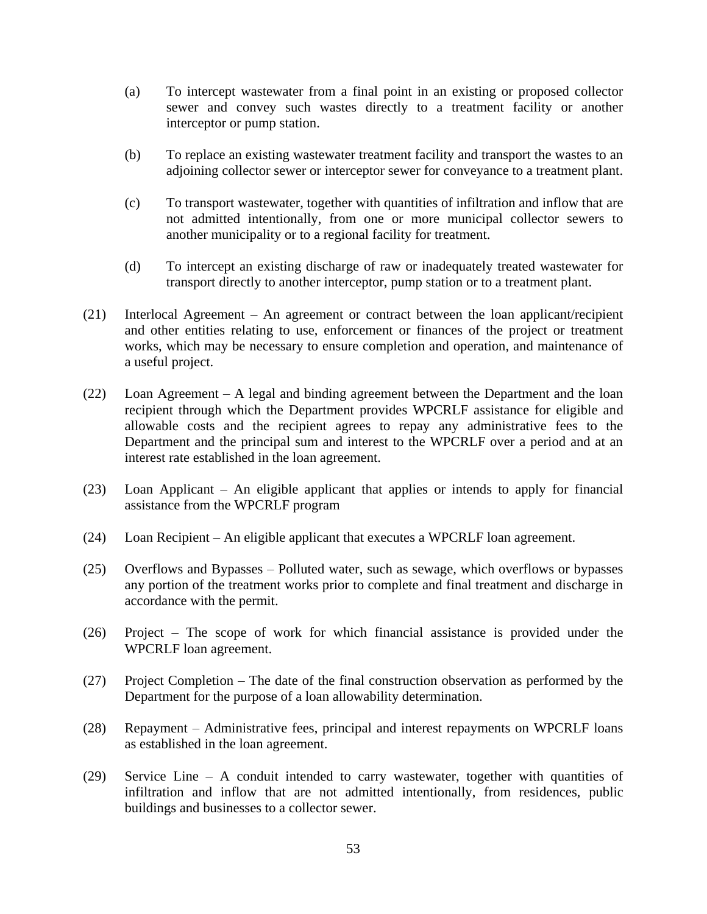- (a) To intercept wastewater from a final point in an existing or proposed collector sewer and convey such wastes directly to a treatment facility or another interceptor or pump station.
- (b) To replace an existing wastewater treatment facility and transport the wastes to an adjoining collector sewer or interceptor sewer for conveyance to a treatment plant.
- (c) To transport wastewater, together with quantities of infiltration and inflow that are not admitted intentionally, from one or more municipal collector sewers to another municipality or to a regional facility for treatment.
- (d) To intercept an existing discharge of raw or inadequately treated wastewater for transport directly to another interceptor, pump station or to a treatment plant.
- (21) Interlocal Agreement An agreement or contract between the loan applicant/recipient and other entities relating to use, enforcement or finances of the project or treatment works, which may be necessary to ensure completion and operation, and maintenance of a useful project.
- (22) Loan Agreement A legal and binding agreement between the Department and the loan recipient through which the Department provides WPCRLF assistance for eligible and allowable costs and the recipient agrees to repay any administrative fees to the Department and the principal sum and interest to the WPCRLF over a period and at an interest rate established in the loan agreement.
- (23) Loan Applicant An eligible applicant that applies or intends to apply for financial assistance from the WPCRLF program
- (24) Loan Recipient An eligible applicant that executes a WPCRLF loan agreement.
- (25) Overflows and Bypasses Polluted water, such as sewage, which overflows or bypasses any portion of the treatment works prior to complete and final treatment and discharge in accordance with the permit.
- (26) Project The scope of work for which financial assistance is provided under the WPCRLF loan agreement.
- (27) Project Completion The date of the final construction observation as performed by the Department for the purpose of a loan allowability determination.
- (28) Repayment Administrative fees, principal and interest repayments on WPCRLF loans as established in the loan agreement.
- (29) Service Line A conduit intended to carry wastewater, together with quantities of infiltration and inflow that are not admitted intentionally, from residences, public buildings and businesses to a collector sewer.